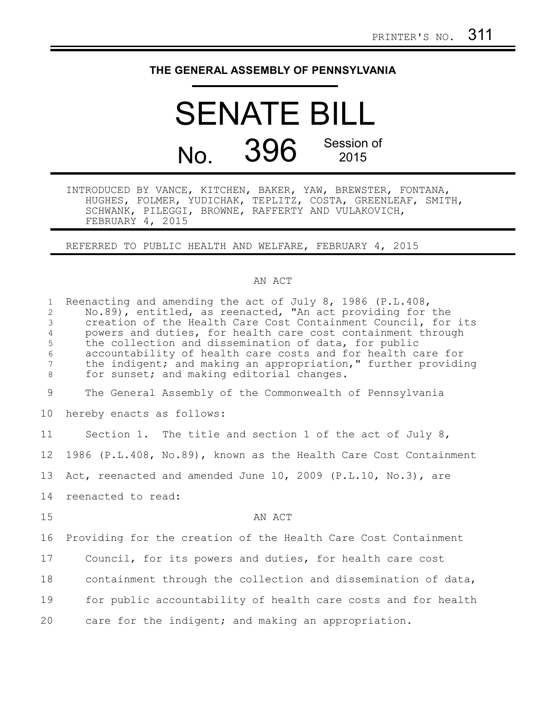## **THE GENERAL ASSEMBLY OF PENNSYLVANIA**

## SENATE BILL No. 396 Session of 2015

INTRODUCED BY VANCE, KITCHEN, BAKER, YAW, BREWSTER, FONTANA, HUGHES, FOLMER, YUDICHAK, TEPLITZ, COSTA, GREENLEAF, SMITH, SCHWANK, PILEGGI, BROWNE, RAFFERTY AND VULAKOVICH, FEBRUARY 4, 2015

REFERRED TO PUBLIC HEALTH AND WELFARE, FEBRUARY 4, 2015

## AN ACT

| $\mathbf{1}$<br>2<br>$\mathcal{S}$<br>$\overline{4}$<br>5<br>$\epsilon$<br>$7\phantom{.0}$<br>8 | Reenacting and amending the act of July 8, 1986 (P.L.408,<br>No.89), entitled, as reenacted, "An act providing for the<br>creation of the Health Care Cost Containment Council, for its<br>powers and duties, for health care cost containment through<br>the collection and dissemination of data, for public<br>accountability of health care costs and for health care for<br>the indigent; and making an appropriation," further providing<br>for sunset; and making editorial changes. |
|-------------------------------------------------------------------------------------------------|---------------------------------------------------------------------------------------------------------------------------------------------------------------------------------------------------------------------------------------------------------------------------------------------------------------------------------------------------------------------------------------------------------------------------------------------------------------------------------------------|
| 9                                                                                               | The General Assembly of the Commonwealth of Pennsylvania                                                                                                                                                                                                                                                                                                                                                                                                                                    |
| 10 <sub>o</sub>                                                                                 | hereby enacts as follows:                                                                                                                                                                                                                                                                                                                                                                                                                                                                   |
| 11                                                                                              | Section 1. The title and section 1 of the act of July 8,                                                                                                                                                                                                                                                                                                                                                                                                                                    |
| 12                                                                                              | 1986 (P.L.408, No.89), known as the Health Care Cost Containment                                                                                                                                                                                                                                                                                                                                                                                                                            |
| 13                                                                                              | Act, reenacted and amended June 10, 2009 (P.L.10, No.3), are                                                                                                                                                                                                                                                                                                                                                                                                                                |
| 14                                                                                              | reenacted to read:                                                                                                                                                                                                                                                                                                                                                                                                                                                                          |
| 15                                                                                              | AN ACT                                                                                                                                                                                                                                                                                                                                                                                                                                                                                      |
| 16                                                                                              | Providing for the creation of the Health Care Cost Containment                                                                                                                                                                                                                                                                                                                                                                                                                              |
| 17                                                                                              | Council, for its powers and duties, for health care cost                                                                                                                                                                                                                                                                                                                                                                                                                                    |
| 18                                                                                              | containment through the collection and dissemination of data,                                                                                                                                                                                                                                                                                                                                                                                                                               |
| 19                                                                                              | for public accountability of health care costs and for health                                                                                                                                                                                                                                                                                                                                                                                                                               |
| 20                                                                                              | care for the indigent; and making an appropriation.                                                                                                                                                                                                                                                                                                                                                                                                                                         |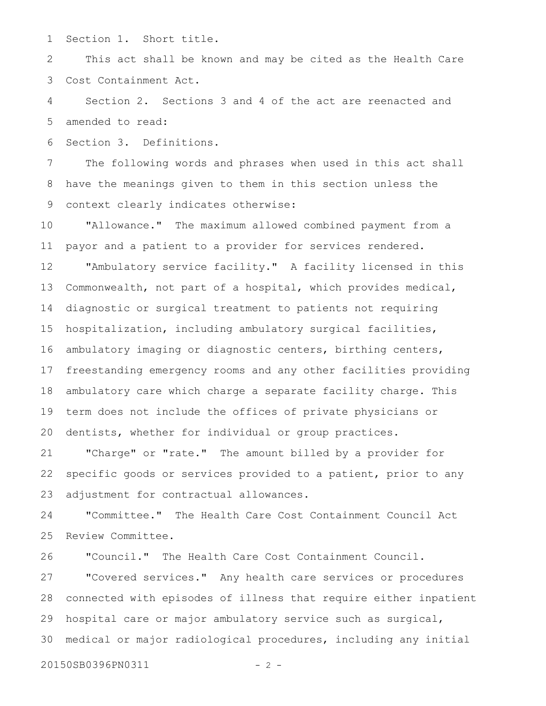Section 1. Short title. 1

This act shall be known and may be cited as the Health Care Cost Containment Act. 2 3

Section 2. Sections 3 and 4 of the act are reenacted and amended to read: 4 5

Section 3. Definitions. 6

The following words and phrases when used in this act shall have the meanings given to them in this section unless the context clearly indicates otherwise: 7 8 9

"Allowance." The maximum allowed combined payment from a payor and a patient to a provider for services rendered. 10 11

"Ambulatory service facility." A facility licensed in this Commonwealth, not part of a hospital, which provides medical, diagnostic or surgical treatment to patients not requiring hospitalization, including ambulatory surgical facilities, ambulatory imaging or diagnostic centers, birthing centers, freestanding emergency rooms and any other facilities providing ambulatory care which charge a separate facility charge. This term does not include the offices of private physicians or dentists, whether for individual or group practices. 12 13 14 15 16 17 18 19 20

"Charge" or "rate." The amount billed by a provider for specific goods or services provided to a patient, prior to any adjustment for contractual allowances. 21 22 23

"Committee." The Health Care Cost Containment Council Act Review Committee. 24 25

"Council." The Health Care Cost Containment Council. 26

"Covered services." Any health care services or procedures connected with episodes of illness that require either inpatient hospital care or major ambulatory service such as surgical, medical or major radiological procedures, including any initial 27 28 29 30

20150SB0396PN0311 - 2 -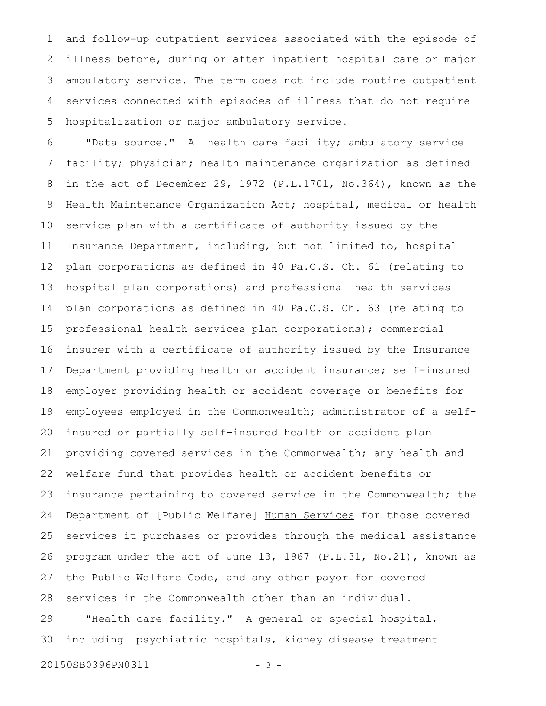and follow-up outpatient services associated with the episode of illness before, during or after inpatient hospital care or major ambulatory service. The term does not include routine outpatient services connected with episodes of illness that do not require hospitalization or major ambulatory service. 1 2 3 4 5

"Data source." A health care facility; ambulatory service facility; physician; health maintenance organization as defined in the act of December 29, 1972 (P.L.1701, No.364), known as the Health Maintenance Organization Act; hospital, medical or health service plan with a certificate of authority issued by the Insurance Department, including, but not limited to, hospital plan corporations as defined in 40 Pa.C.S. Ch. 61 (relating to hospital plan corporations) and professional health services plan corporations as defined in 40 Pa.C.S. Ch. 63 (relating to professional health services plan corporations); commercial insurer with a certificate of authority issued by the Insurance Department providing health or accident insurance; self-insured employer providing health or accident coverage or benefits for employees employed in the Commonwealth; administrator of a selfinsured or partially self-insured health or accident plan providing covered services in the Commonwealth; any health and welfare fund that provides health or accident benefits or insurance pertaining to covered service in the Commonwealth; the Department of [Public Welfare] Human Services for those covered services it purchases or provides through the medical assistance program under the act of June 13, 1967 (P.L.31, No.21), known as the Public Welfare Code, and any other payor for covered services in the Commonwealth other than an individual. "Health care facility." A general or special hospital, including psychiatric hospitals, kidney disease treatment 6 7 8 9 10 11 12 13 14 15 16 17 18 19 20 21 22 23 24 25 26 27 28 29 30

20150SB0396PN0311 - 3 -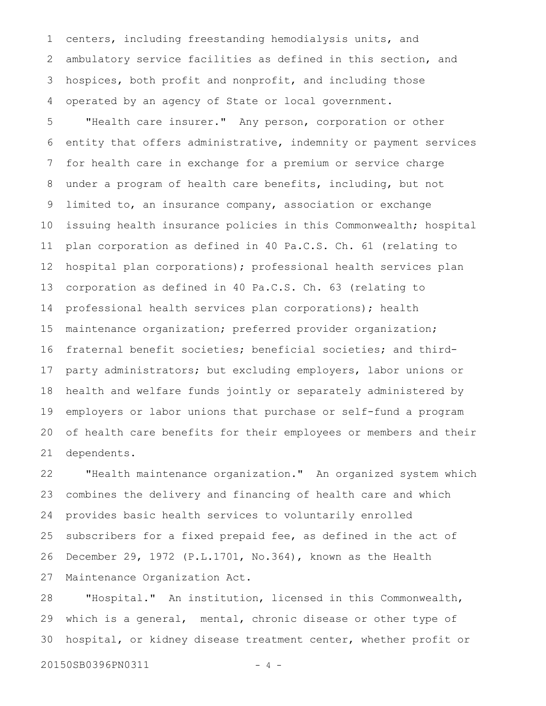centers, including freestanding hemodialysis units, and ambulatory service facilities as defined in this section, and hospices, both profit and nonprofit, and including those operated by an agency of State or local government. 1 2 3 4

"Health care insurer." Any person, corporation or other entity that offers administrative, indemnity or payment services for health care in exchange for a premium or service charge under a program of health care benefits, including, but not limited to, an insurance company, association or exchange issuing health insurance policies in this Commonwealth; hospital plan corporation as defined in 40 Pa.C.S. Ch. 61 (relating to hospital plan corporations); professional health services plan corporation as defined in 40 Pa.C.S. Ch. 63 (relating to professional health services plan corporations); health maintenance organization; preferred provider organization; fraternal benefit societies; beneficial societies; and thirdparty administrators; but excluding employers, labor unions or health and welfare funds jointly or separately administered by employers or labor unions that purchase or self-fund a program of health care benefits for their employees or members and their dependents. 5 6 7 8 9 10 11 12 13 14 15 16 17 18 19 20 21

"Health maintenance organization." An organized system which combines the delivery and financing of health care and which provides basic health services to voluntarily enrolled subscribers for a fixed prepaid fee, as defined in the act of December 29, 1972 (P.L.1701, No.364), known as the Health Maintenance Organization Act. 22 23 24 25 26 27

"Hospital." An institution, licensed in this Commonwealth, which is a general, mental, chronic disease or other type of hospital, or kidney disease treatment center, whether profit or 28 29 30

20150SB0396PN0311 - 4 -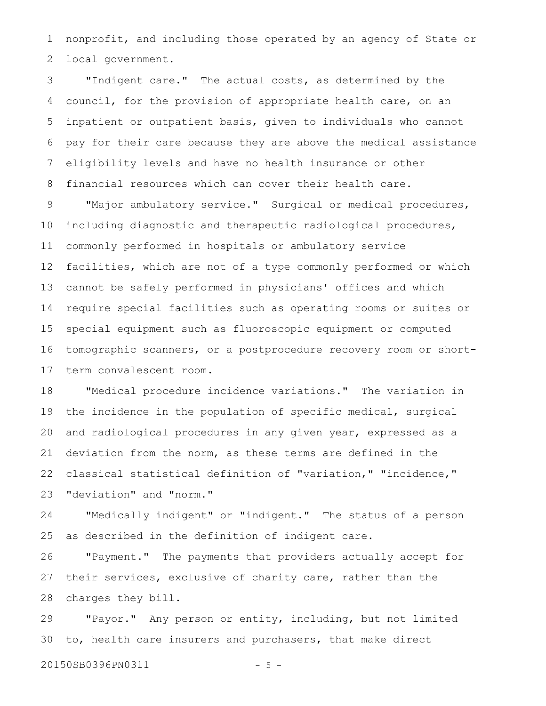nonprofit, and including those operated by an agency of State or local government. 1 2

"Indigent care." The actual costs, as determined by the council, for the provision of appropriate health care, on an inpatient or outpatient basis, given to individuals who cannot pay for their care because they are above the medical assistance eligibility levels and have no health insurance or other financial resources which can cover their health care. 3 4 5 6 7 8

"Major ambulatory service." Surgical or medical procedures, including diagnostic and therapeutic radiological procedures, commonly performed in hospitals or ambulatory service facilities, which are not of a type commonly performed or which cannot be safely performed in physicians' offices and which require special facilities such as operating rooms or suites or special equipment such as fluoroscopic equipment or computed tomographic scanners, or a postprocedure recovery room or shortterm convalescent room. 9 10 11 12 13 14 15 16 17

"Medical procedure incidence variations." The variation in the incidence in the population of specific medical, surgical and radiological procedures in any given year, expressed as a deviation from the norm, as these terms are defined in the classical statistical definition of "variation," "incidence," "deviation" and "norm." 18 19 20 21 22 23

"Medically indigent" or "indigent." The status of a person as described in the definition of indigent care. 24 25

"Payment." The payments that providers actually accept for their services, exclusive of charity care, rather than the charges they bill. 26 27 28

"Payor." Any person or entity, including, but not limited to, health care insurers and purchasers, that make direct 29 30

20150SB0396PN0311 - 5 -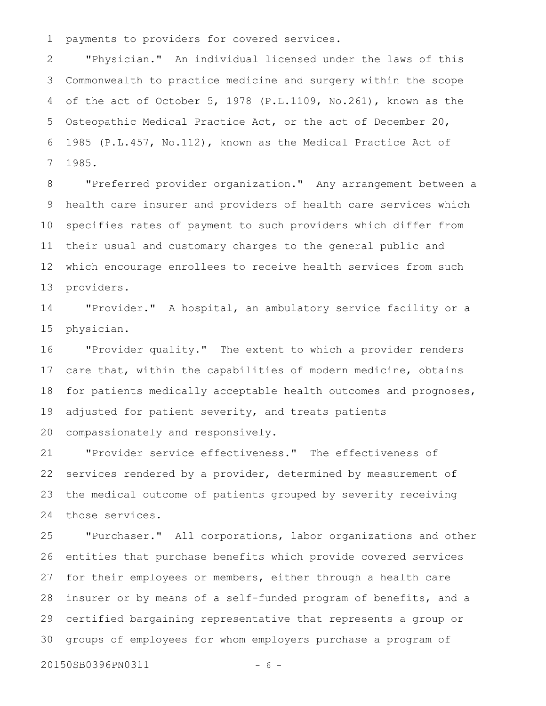payments to providers for covered services. 1

"Physician." An individual licensed under the laws of this Commonwealth to practice medicine and surgery within the scope of the act of October 5, 1978 (P.L.1109, No.261), known as the Osteopathic Medical Practice Act, or the act of December 20, 1985 (P.L.457, No.112), known as the Medical Practice Act of 1985. 2 3 4 5 6 7

"Preferred provider organization." Any arrangement between a health care insurer and providers of health care services which specifies rates of payment to such providers which differ from their usual and customary charges to the general public and which encourage enrollees to receive health services from such providers. 8 9 10 11 12 13

"Provider." A hospital, an ambulatory service facility or a physician. 14 15

"Provider quality." The extent to which a provider renders care that, within the capabilities of modern medicine, obtains for patients medically acceptable health outcomes and prognoses, adjusted for patient severity, and treats patients compassionately and responsively. 16 17 18 19 20

"Provider service effectiveness." The effectiveness of services rendered by a provider, determined by measurement of the medical outcome of patients grouped by severity receiving those services. 21 22 23 24

"Purchaser." All corporations, labor organizations and other entities that purchase benefits which provide covered services for their employees or members, either through a health care insurer or by means of a self-funded program of benefits, and a certified bargaining representative that represents a group or groups of employees for whom employers purchase a program of 25 26 27 28 29 30

20150SB0396PN0311 - 6 -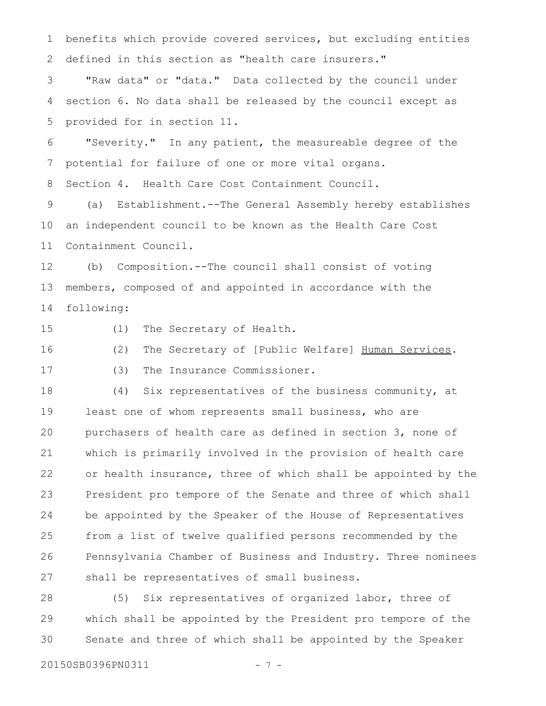benefits which provide covered services, but excluding entities defined in this section as "health care insurers." 1 2

"Raw data" or "data." Data collected by the council under section 6. No data shall be released by the council except as provided for in section 11. 3 4 5

"Severity." In any patient, the measureable degree of the potential for failure of one or more vital organs. 6 7

Section 4. Health Care Cost Containment Council. 8

(a) Establishment.--The General Assembly hereby establishes an independent council to be known as the Health Care Cost Containment Council. 9 10 11

(b) Composition.--The council shall consist of voting members, composed of and appointed in accordance with the following: 12 13 14

15

(1) The Secretary of Health.

(2) The Secretary of [Public Welfare] Human Services. (3) The Insurance Commissioner. 16 17

(4) Six representatives of the business community, at least one of whom represents small business, who are purchasers of health care as defined in section 3, none of which is primarily involved in the provision of health care or health insurance, three of which shall be appointed by the President pro tempore of the Senate and three of which shall be appointed by the Speaker of the House of Representatives from a list of twelve qualified persons recommended by the Pennsylvania Chamber of Business and Industry. Three nominees shall be representatives of small business. 18 19 20 21 22 23 24 25 26 27

(5) Six representatives of organized labor, three of which shall be appointed by the President pro tempore of the Senate and three of which shall be appointed by the Speaker 28 29 30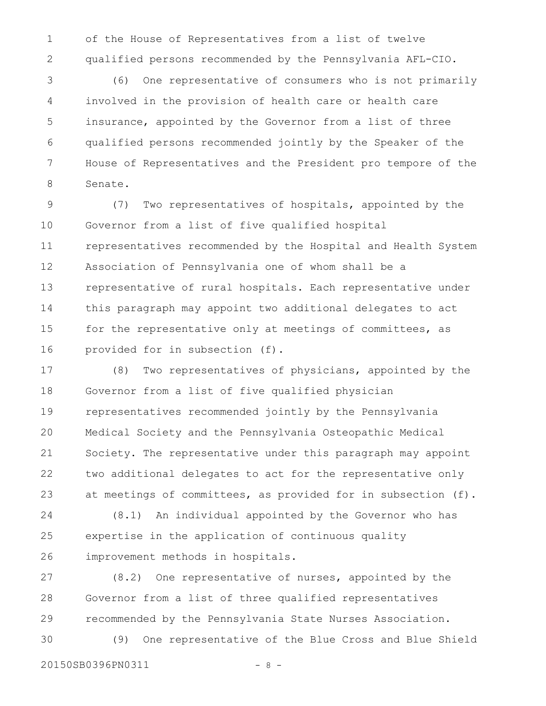of the House of Representatives from a list of twelve qualified persons recommended by the Pennsylvania AFL-CIO. 1 2

(6) One representative of consumers who is not primarily involved in the provision of health care or health care insurance, appointed by the Governor from a list of three qualified persons recommended jointly by the Speaker of the House of Representatives and the President pro tempore of the Senate. 3 4 5 6 7 8

(7) Two representatives of hospitals, appointed by the Governor from a list of five qualified hospital representatives recommended by the Hospital and Health System Association of Pennsylvania one of whom shall be a representative of rural hospitals. Each representative under this paragraph may appoint two additional delegates to act for the representative only at meetings of committees, as provided for in subsection (f). 9 10 11 12 13 14 15 16

(8) Two representatives of physicians, appointed by the Governor from a list of five qualified physician representatives recommended jointly by the Pennsylvania Medical Society and the Pennsylvania Osteopathic Medical Society. The representative under this paragraph may appoint two additional delegates to act for the representative only at meetings of committees, as provided for in subsection (f). 17 18 19 20 21 22 23

(8.1) An individual appointed by the Governor who has expertise in the application of continuous quality improvement methods in hospitals. 24 25 26

(8.2) One representative of nurses, appointed by the Governor from a list of three qualified representatives recommended by the Pennsylvania State Nurses Association. 27 28 29

(9) One representative of the Blue Cross and Blue Shield 30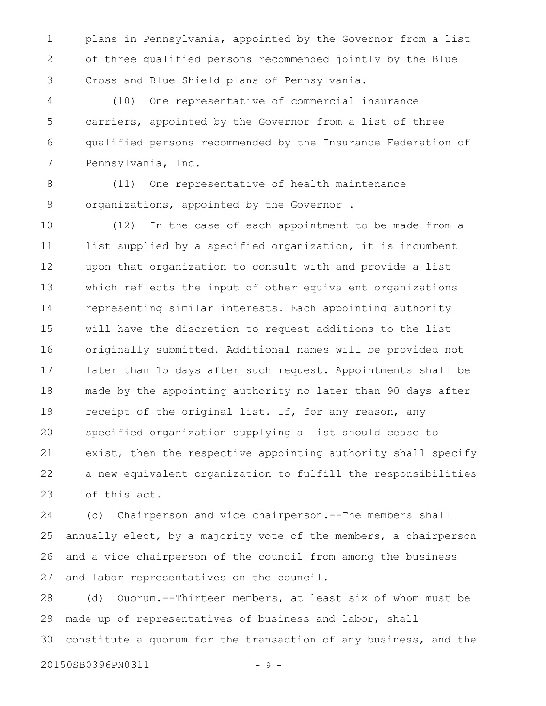plans in Pennsylvania, appointed by the Governor from a list of three qualified persons recommended jointly by the Blue Cross and Blue Shield plans of Pennsylvania. 1 2 3

(10) One representative of commercial insurance carriers, appointed by the Governor from a list of three qualified persons recommended by the Insurance Federation of Pennsylvania, Inc. 4 5 6 7

(11) One representative of health maintenance organizations, appointed by the Governor . 8 9

(12) In the case of each appointment to be made from a list supplied by a specified organization, it is incumbent upon that organization to consult with and provide a list which reflects the input of other equivalent organizations representing similar interests. Each appointing authority will have the discretion to request additions to the list originally submitted. Additional names will be provided not later than 15 days after such request. Appointments shall be made by the appointing authority no later than 90 days after receipt of the original list. If, for any reason, any specified organization supplying a list should cease to exist, then the respective appointing authority shall specify a new equivalent organization to fulfill the responsibilities of this act. 10 11 12 13 14 15 16 17 18 19 20 21 22 23

(c) Chairperson and vice chairperson.--The members shall annually elect, by a majority vote of the members, a chairperson and a vice chairperson of the council from among the business and labor representatives on the council. 24 25 26 27

(d) Quorum.--Thirteen members, at least six of whom must be made up of representatives of business and labor, shall constitute a quorum for the transaction of any business, and the 28 29 30

20150SB0396PN0311 - 9 -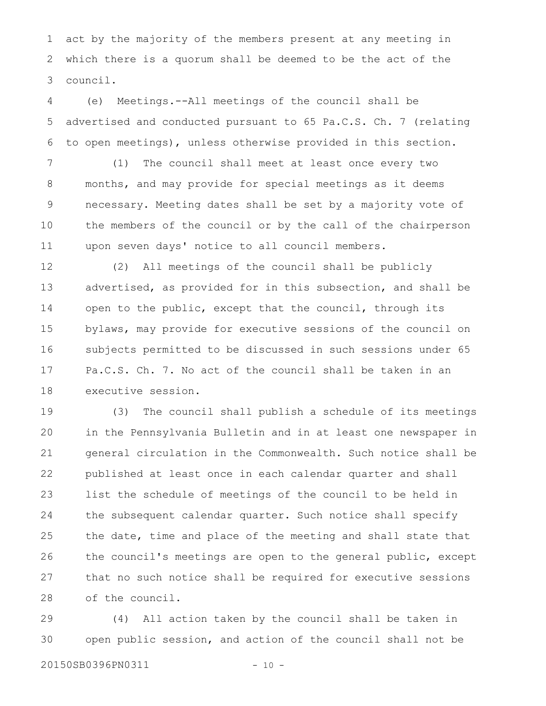act by the majority of the members present at any meeting in which there is a quorum shall be deemed to be the act of the council. 1 2 3

(e) Meetings.--All meetings of the council shall be advertised and conducted pursuant to 65 Pa.C.S. Ch. 7 (relating to open meetings), unless otherwise provided in this section. 4 5 6

(1) The council shall meet at least once every two months, and may provide for special meetings as it deems necessary. Meeting dates shall be set by a majority vote of the members of the council or by the call of the chairperson upon seven days' notice to all council members. 7 8 9 10 11

(2) All meetings of the council shall be publicly advertised, as provided for in this subsection, and shall be open to the public, except that the council, through its bylaws, may provide for executive sessions of the council on subjects permitted to be discussed in such sessions under 65 Pa.C.S. Ch. 7. No act of the council shall be taken in an executive session. 12 13 14 15 16 17 18

(3) The council shall publish a schedule of its meetings in the Pennsylvania Bulletin and in at least one newspaper in general circulation in the Commonwealth. Such notice shall be published at least once in each calendar quarter and shall list the schedule of meetings of the council to be held in the subsequent calendar quarter. Such notice shall specify the date, time and place of the meeting and shall state that the council's meetings are open to the general public, except that no such notice shall be required for executive sessions of the council. 19 20 21 22 23 24 25 26 27 28

(4) All action taken by the council shall be taken in open public session, and action of the council shall not be 29 30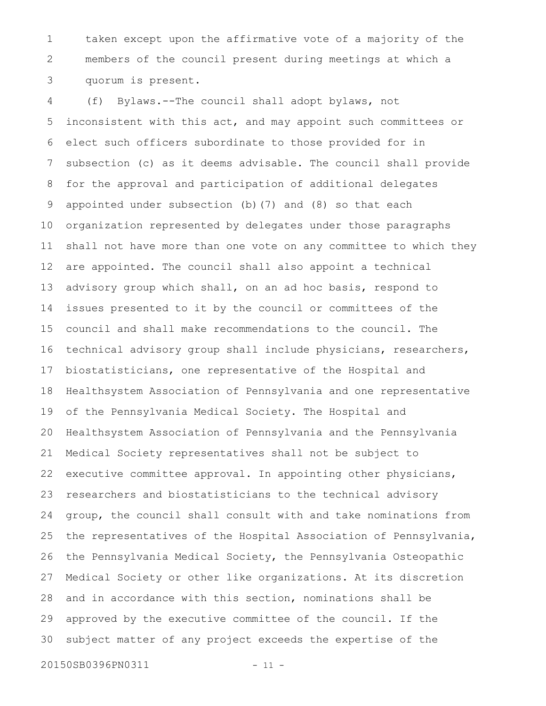taken except upon the affirmative vote of a majority of the members of the council present during meetings at which a quorum is present. 1 2 3

(f) Bylaws.--The council shall adopt bylaws, not inconsistent with this act, and may appoint such committees or elect such officers subordinate to those provided for in subsection (c) as it deems advisable. The council shall provide for the approval and participation of additional delegates appointed under subsection (b)(7) and (8) so that each organization represented by delegates under those paragraphs shall not have more than one vote on any committee to which they are appointed. The council shall also appoint a technical advisory group which shall, on an ad hoc basis, respond to issues presented to it by the council or committees of the council and shall make recommendations to the council. The technical advisory group shall include physicians, researchers, biostatisticians, one representative of the Hospital and Healthsystem Association of Pennsylvania and one representative of the Pennsylvania Medical Society. The Hospital and Healthsystem Association of Pennsylvania and the Pennsylvania Medical Society representatives shall not be subject to executive committee approval. In appointing other physicians, researchers and biostatisticians to the technical advisory group, the council shall consult with and take nominations from the representatives of the Hospital Association of Pennsylvania, the Pennsylvania Medical Society, the Pennsylvania Osteopathic Medical Society or other like organizations. At its discretion and in accordance with this section, nominations shall be approved by the executive committee of the council. If the subject matter of any project exceeds the expertise of the 4 5 6 7 8 9 10 11 12 13 14 15 16 17 18 19 20 21 22 23 24 25 26 27 28 29 30

20150SB0396PN0311 - 11 -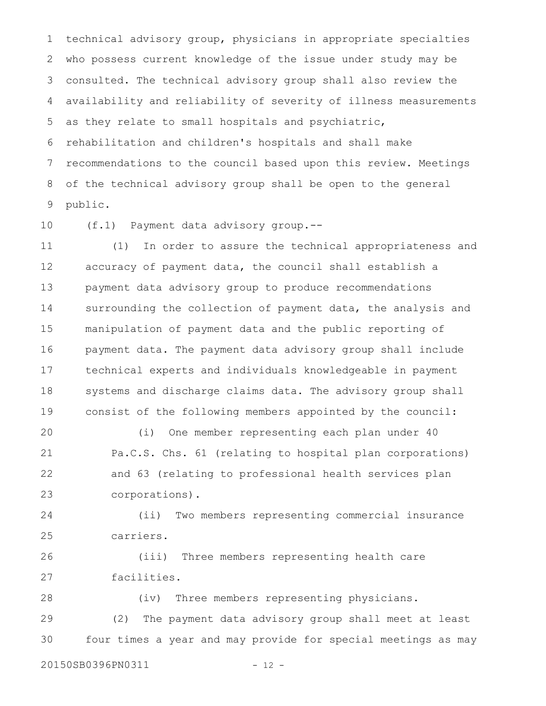technical advisory group, physicians in appropriate specialties who possess current knowledge of the issue under study may be consulted. The technical advisory group shall also review the availability and reliability of severity of illness measurements as they relate to small hospitals and psychiatric, rehabilitation and children's hospitals and shall make recommendations to the council based upon this review. Meetings of the technical advisory group shall be open to the general public. 1 2 3 4 5 6 7 8 9

(f.1) Payment data advisory group.-- 10

(1) In order to assure the technical appropriateness and accuracy of payment data, the council shall establish a payment data advisory group to produce recommendations surrounding the collection of payment data, the analysis and manipulation of payment data and the public reporting of payment data. The payment data advisory group shall include technical experts and individuals knowledgeable in payment systems and discharge claims data. The advisory group shall consist of the following members appointed by the council: 11 12 13 14 15 16 17 18 19

(i) One member representing each plan under 40 Pa.C.S. Chs. 61 (relating to hospital plan corporations) and 63 (relating to professional health services plan corporations). 20 21 22 23

(ii) Two members representing commercial insurance carriers. 24 25

(iii) Three members representing health care facilities. 26 27

(iv) Three members representing physicians. (2) The payment data advisory group shall meet at least four times a year and may provide for special meetings as may 28 29 30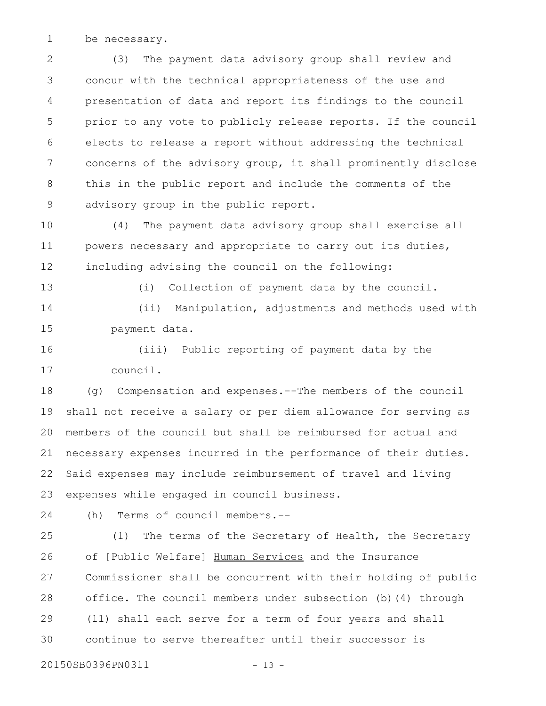be necessary. 1

(3) The payment data advisory group shall review and concur with the technical appropriateness of the use and presentation of data and report its findings to the council prior to any vote to publicly release reports. If the council elects to release a report without addressing the technical concerns of the advisory group, it shall prominently disclose this in the public report and include the comments of the advisory group in the public report. 2 3 4 5 6 7 8 9

(4) The payment data advisory group shall exercise all powers necessary and appropriate to carry out its duties, including advising the council on the following: 10 11 12

13

(i) Collection of payment data by the council.

(ii) Manipulation, adjustments and methods used with payment data. 14 15

(iii) Public reporting of payment data by the council. 16 17

(g) Compensation and expenses.--The members of the council shall not receive a salary or per diem allowance for serving as members of the council but shall be reimbursed for actual and necessary expenses incurred in the performance of their duties. Said expenses may include reimbursement of travel and living expenses while engaged in council business. 18 19 20 21 22 23

24

(h) Terms of council members.--

(1) The terms of the Secretary of Health, the Secretary of [Public Welfare] Human Services and the Insurance Commissioner shall be concurrent with their holding of public office. The council members under subsection (b)(4) through (11) shall each serve for a term of four years and shall continue to serve thereafter until their successor is 25 26 27 28 29 30

20150SB0396PN0311 - 13 -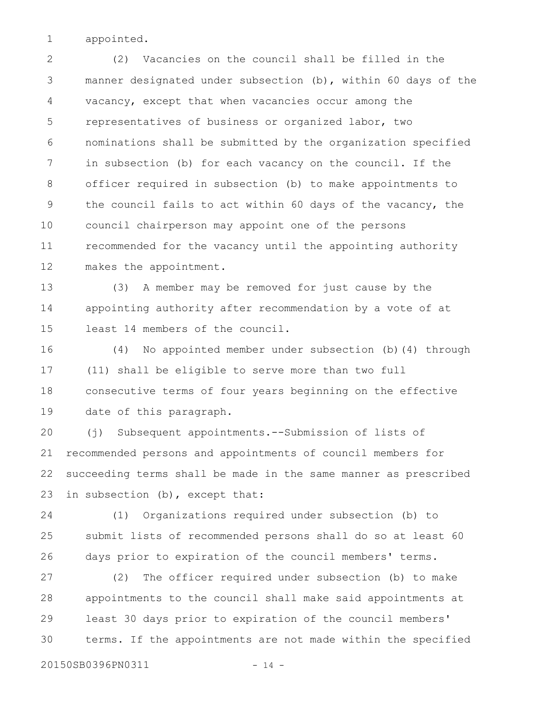appointed. 1

(2) Vacancies on the council shall be filled in the manner designated under subsection (b), within 60 days of the vacancy, except that when vacancies occur among the representatives of business or organized labor, two nominations shall be submitted by the organization specified in subsection (b) for each vacancy on the council. If the officer required in subsection (b) to make appointments to the council fails to act within 60 days of the vacancy, the council chairperson may appoint one of the persons recommended for the vacancy until the appointing authority makes the appointment. 2 3 4 5 6 7 8 9 10 11 12

(3) A member may be removed for just cause by the appointing authority after recommendation by a vote of at least 14 members of the council. 13 14 15

(4) No appointed member under subsection (b)(4) through (11) shall be eligible to serve more than two full consecutive terms of four years beginning on the effective date of this paragraph. 16 17 18 19

(j) Subsequent appointments.--Submission of lists of recommended persons and appointments of council members for succeeding terms shall be made in the same manner as prescribed in subsection (b), except that: 20 21 22 23

(1) Organizations required under subsection (b) to submit lists of recommended persons shall do so at least 60 days prior to expiration of the council members' terms. 24 25 26

(2) The officer required under subsection (b) to make appointments to the council shall make said appointments at least 30 days prior to expiration of the council members' terms. If the appointments are not made within the specified 27 28 29 30

20150SB0396PN0311 - 14 -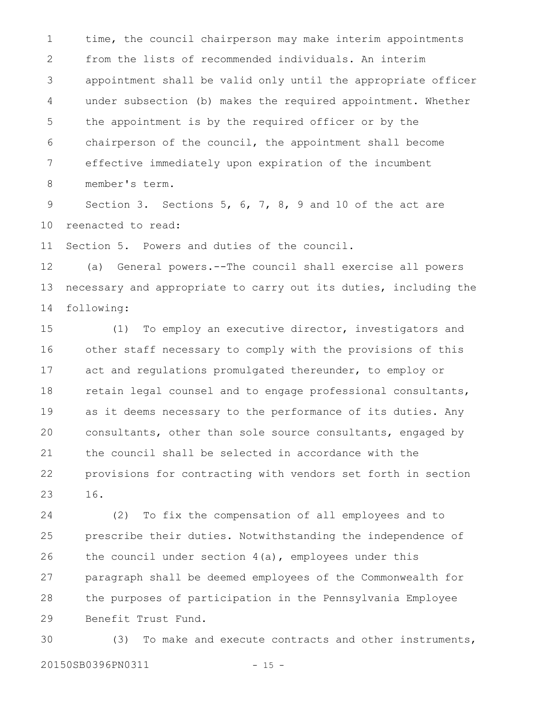time, the council chairperson may make interim appointments from the lists of recommended individuals. An interim appointment shall be valid only until the appropriate officer under subsection (b) makes the required appointment. Whether the appointment is by the required officer or by the chairperson of the council, the appointment shall become effective immediately upon expiration of the incumbent member's term. 1 2 3 4 5 6 7 8

Section 3. Sections 5, 6, 7, 8, 9 and 10 of the act are reenacted to read: 9 10

Section 5. Powers and duties of the council. 11

(a) General powers.--The council shall exercise all powers necessary and appropriate to carry out its duties, including the following: 12 13 14

(1) To employ an executive director, investigators and other staff necessary to comply with the provisions of this act and regulations promulgated thereunder, to employ or retain legal counsel and to engage professional consultants, as it deems necessary to the performance of its duties. Any consultants, other than sole source consultants, engaged by the council shall be selected in accordance with the provisions for contracting with vendors set forth in section 16. 15 16 17 18 19 20 21 22 23

(2) To fix the compensation of all employees and to prescribe their duties. Notwithstanding the independence of the council under section  $4(a)$ , employees under this paragraph shall be deemed employees of the Commonwealth for the purposes of participation in the Pennsylvania Employee Benefit Trust Fund. 24 25 26 27 28 29

(3) To make and execute contracts and other instruments, 20150SB0396PN0311 - 15 -30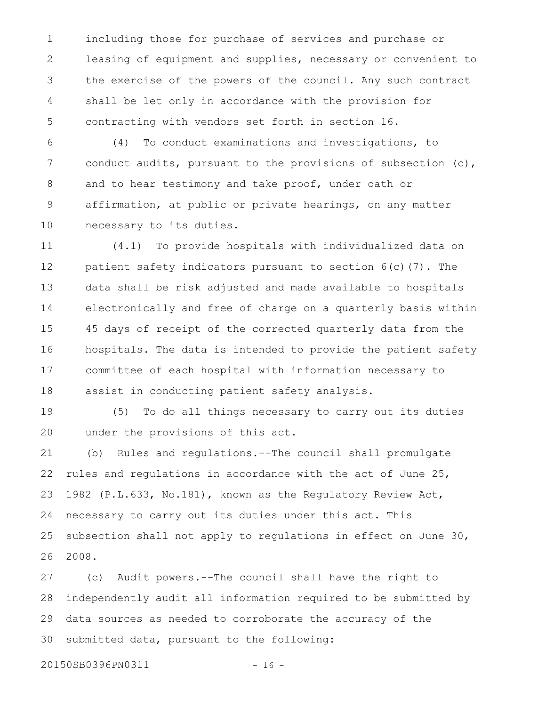including those for purchase of services and purchase or leasing of equipment and supplies, necessary or convenient to the exercise of the powers of the council. Any such contract shall be let only in accordance with the provision for contracting with vendors set forth in section 16. 1 2 3 4 5

(4) To conduct examinations and investigations, to conduct audits, pursuant to the provisions of subsection (c), and to hear testimony and take proof, under oath or affirmation, at public or private hearings, on any matter necessary to its duties. 6 7 8 9 10

(4.1) To provide hospitals with individualized data on patient safety indicators pursuant to section 6(c)(7). The data shall be risk adjusted and made available to hospitals electronically and free of charge on a quarterly basis within 45 days of receipt of the corrected quarterly data from the hospitals. The data is intended to provide the patient safety committee of each hospital with information necessary to assist in conducting patient safety analysis. 11 12 13 14 15 16 17 18

(5) To do all things necessary to carry out its duties under the provisions of this act. 19 20

(b) Rules and regulations.--The council shall promulgate rules and regulations in accordance with the act of June 25, 1982 (P.L.633, No.181), known as the Regulatory Review Act, necessary to carry out its duties under this act. This subsection shall not apply to regulations in effect on June 30, 2008. 21 22 23 24 25 26

(c) Audit powers.--The council shall have the right to independently audit all information required to be submitted by data sources as needed to corroborate the accuracy of the submitted data, pursuant to the following: 27 28 29 30

20150SB0396PN0311 - 16 -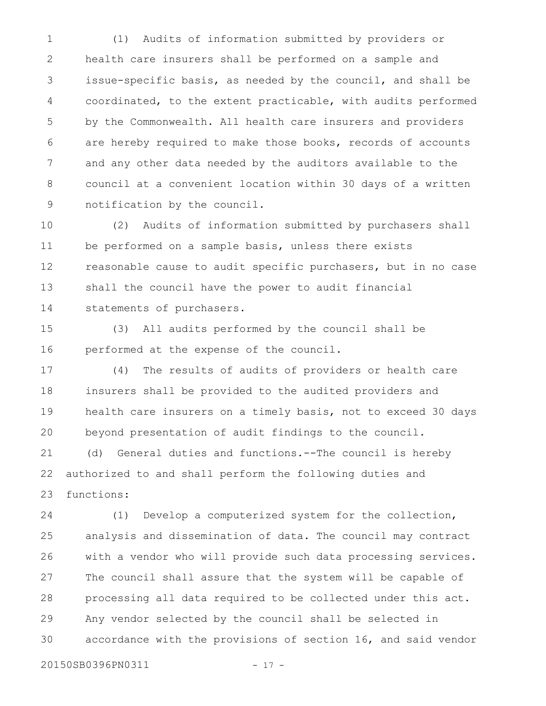(1) Audits of information submitted by providers or health care insurers shall be performed on a sample and issue-specific basis, as needed by the council, and shall be coordinated, to the extent practicable, with audits performed by the Commonwealth. All health care insurers and providers are hereby required to make those books, records of accounts and any other data needed by the auditors available to the council at a convenient location within 30 days of a written notification by the council. 1 2 3 4 5 6 7 8 9

(2) Audits of information submitted by purchasers shall be performed on a sample basis, unless there exists reasonable cause to audit specific purchasers, but in no case shall the council have the power to audit financial statements of purchasers. 10 11 12 13 14

(3) All audits performed by the council shall be performed at the expense of the council. 15 16

(4) The results of audits of providers or health care insurers shall be provided to the audited providers and health care insurers on a timely basis, not to exceed 30 days beyond presentation of audit findings to the council. 17 18 19 20

(d) General duties and functions.--The council is hereby authorized to and shall perform the following duties and functions: 21 22 23

(1) Develop a computerized system for the collection, analysis and dissemination of data. The council may contract with a vendor who will provide such data processing services. The council shall assure that the system will be capable of processing all data required to be collected under this act. Any vendor selected by the council shall be selected in accordance with the provisions of section 16, and said vendor 24 25 26 27 28 29 30

20150SB0396PN0311 - 17 -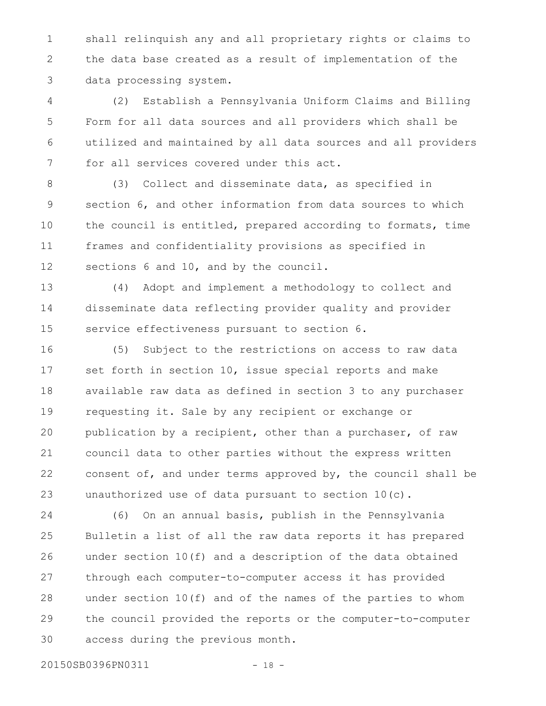shall relinquish any and all proprietary rights or claims to the data base created as a result of implementation of the data processing system. 1 2 3

(2) Establish a Pennsylvania Uniform Claims and Billing Form for all data sources and all providers which shall be utilized and maintained by all data sources and all providers for all services covered under this act. 4 5 6 7

(3) Collect and disseminate data, as specified in section 6, and other information from data sources to which the council is entitled, prepared according to formats, time frames and confidentiality provisions as specified in sections 6 and 10, and by the council. 8 9 10 11 12

(4) Adopt and implement a methodology to collect and disseminate data reflecting provider quality and provider service effectiveness pursuant to section 6. 13 14 15

(5) Subject to the restrictions on access to raw data set forth in section 10, issue special reports and make available raw data as defined in section 3 to any purchaser requesting it. Sale by any recipient or exchange or publication by a recipient, other than a purchaser, of raw council data to other parties without the express written consent of, and under terms approved by, the council shall be unauthorized use of data pursuant to section 10(c). 16 17 18 19 20 21 22 23

(6) On an annual basis, publish in the Pennsylvania Bulletin a list of all the raw data reports it has prepared under section 10(f) and a description of the data obtained through each computer-to-computer access it has provided under section 10(f) and of the names of the parties to whom the council provided the reports or the computer-to-computer access during the previous month. 24 25 26 27 28 29 30

20150SB0396PN0311 - 18 -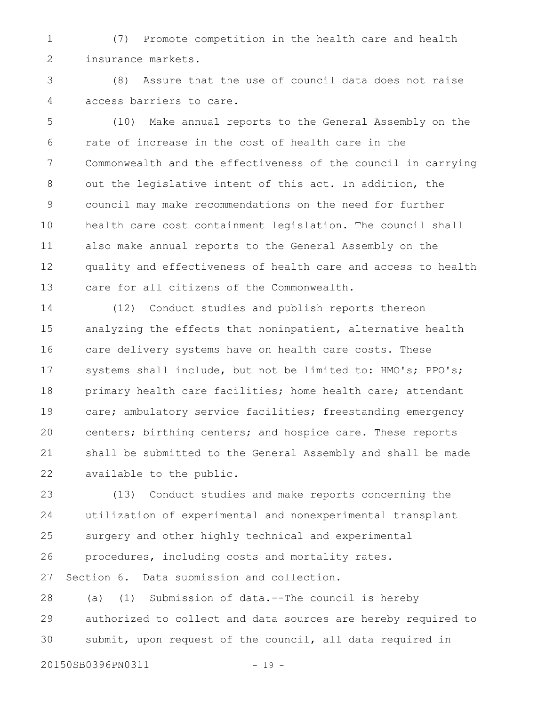(7) Promote competition in the health care and health insurance markets. 1 2

(8) Assure that the use of council data does not raise access barriers to care. 3 4

(10) Make annual reports to the General Assembly on the rate of increase in the cost of health care in the Commonwealth and the effectiveness of the council in carrying out the legislative intent of this act. In addition, the council may make recommendations on the need for further health care cost containment legislation. The council shall also make annual reports to the General Assembly on the quality and effectiveness of health care and access to health care for all citizens of the Commonwealth. 5 6 7 8 9 10 11 12 13

(12) Conduct studies and publish reports thereon analyzing the effects that noninpatient, alternative health care delivery systems have on health care costs. These systems shall include, but not be limited to: HMO's; PPO's; primary health care facilities; home health care; attendant care; ambulatory service facilities; freestanding emergency centers; birthing centers; and hospice care. These reports shall be submitted to the General Assembly and shall be made available to the public. 14 15 16 17 18 19 20 21 22

(13) Conduct studies and make reports concerning the utilization of experimental and nonexperimental transplant surgery and other highly technical and experimental procedures, including costs and mortality rates. Section 6. Data submission and collection. 23 24 25 26 27

(a) (1) Submission of data.--The council is hereby authorized to collect and data sources are hereby required to submit, upon request of the council, all data required in 28 29 30

20150SB0396PN0311 - 19 -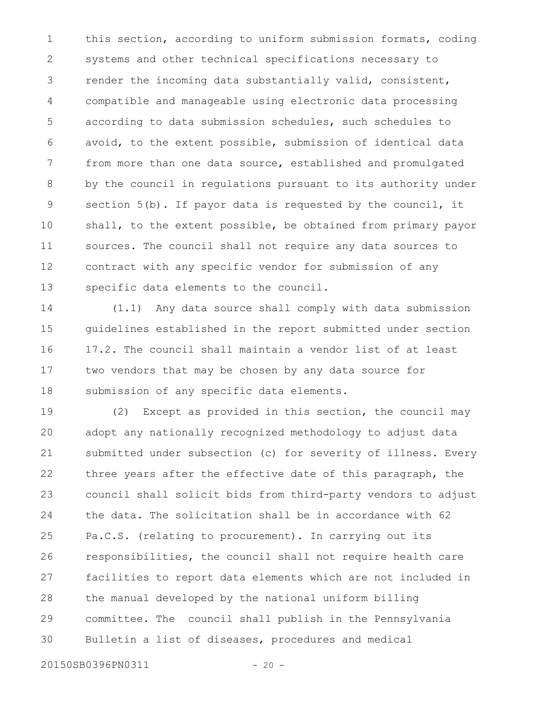this section, according to uniform submission formats, coding systems and other technical specifications necessary to render the incoming data substantially valid, consistent, compatible and manageable using electronic data processing according to data submission schedules, such schedules to avoid, to the extent possible, submission of identical data from more than one data source, established and promulgated by the council in regulations pursuant to its authority under section 5(b). If payor data is requested by the council, it shall, to the extent possible, be obtained from primary payor sources. The council shall not require any data sources to contract with any specific vendor for submission of any specific data elements to the council. 1 2 3 4 5 6 7 8 9 10 11 12 13

(1.1) Any data source shall comply with data submission guidelines established in the report submitted under section 17.2. The council shall maintain a vendor list of at least two vendors that may be chosen by any data source for submission of any specific data elements. 14 15 16 17 18

(2) Except as provided in this section, the council may adopt any nationally recognized methodology to adjust data submitted under subsection (c) for severity of illness. Every three years after the effective date of this paragraph, the council shall solicit bids from third-party vendors to adjust the data. The solicitation shall be in accordance with 62 Pa.C.S. (relating to procurement). In carrying out its responsibilities, the council shall not require health care facilities to report data elements which are not included in the manual developed by the national uniform billing committee. The council shall publish in the Pennsylvania Bulletin a list of diseases, procedures and medical 19 20 21 22 23 24 25 26 27 28 29 30

20150SB0396PN0311 - 20 -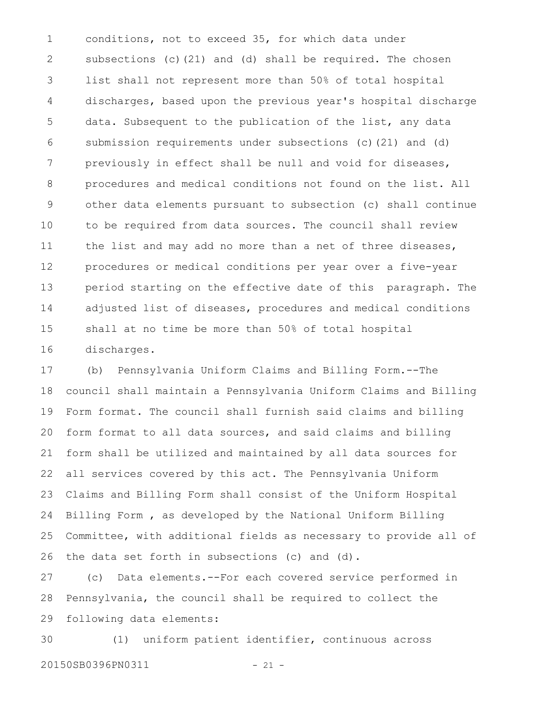conditions, not to exceed 35, for which data under subsections (c)(21) and (d) shall be required. The chosen list shall not represent more than 50% of total hospital discharges, based upon the previous year's hospital discharge data. Subsequent to the publication of the list, any data submission requirements under subsections (c)(21) and (d) previously in effect shall be null and void for diseases, procedures and medical conditions not found on the list. All other data elements pursuant to subsection (c) shall continue to be required from data sources. The council shall review the list and may add no more than a net of three diseases, procedures or medical conditions per year over a five-year period starting on the effective date of this paragraph. The adjusted list of diseases, procedures and medical conditions shall at no time be more than 50% of total hospital discharges. 1 2 3 4 5 6 7 8 9 10 11 12 13 14 15 16

(b) Pennsylvania Uniform Claims and Billing Form.--The council shall maintain a Pennsylvania Uniform Claims and Billing Form format. The council shall furnish said claims and billing form format to all data sources, and said claims and billing form shall be utilized and maintained by all data sources for all services covered by this act. The Pennsylvania Uniform Claims and Billing Form shall consist of the Uniform Hospital Billing Form , as developed by the National Uniform Billing Committee, with additional fields as necessary to provide all of the data set forth in subsections (c) and (d). 17 18 19 20 21 22 23 24 25 26

(c) Data elements.--For each covered service performed in Pennsylvania, the council shall be required to collect the following data elements: 27 28 29

(1) uniform patient identifier, continuous across 20150SB0396PN0311 - 21 -30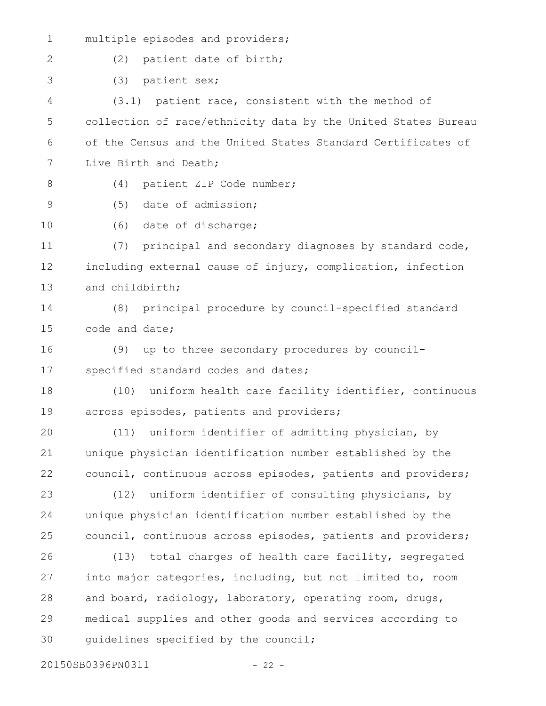| $\mathbf 1$ | multiple episodes and providers;                              |
|-------------|---------------------------------------------------------------|
| 2           | (2)<br>patient date of birth;                                 |
| 3           | (3)<br>patient sex;                                           |
| 4           | (3.1) patient race, consistent with the method of             |
| 5           | collection of race/ethnicity data by the United States Bureau |
| 6           | of the Census and the United States Standard Certificates of  |
| 7           | Live Birth and Death;                                         |
| 8           | patient ZIP Code number;<br>(4)                               |
| $\mathsf 9$ | date of admission;<br>(5)                                     |
| 10          | (6) date of discharge;                                        |
| 11          | (7) principal and secondary diagnoses by standard code,       |
| 12          | including external cause of injury, complication, infection   |
| 13          | and childbirth;                                               |
| 14          | principal procedure by council-specified standard<br>(8)      |
| 15          | code and date;                                                |
| 16          | (9)<br>up to three secondary procedures by council-           |
| 17          | specified standard codes and dates;                           |
| 18          | uniform health care facility identifier, continuous<br>(10)   |
| 19          | across episodes, patients and providers;                      |
| 20          | (11) uniform identifier of admitting physician, by            |
| 21          | unique physician identification number established by the     |
| 22          | council, continuous across episodes, patients and providers;  |
| 23          | uniform identifier of consulting physicians, by<br>(12)       |
| 24          | unique physician identification number established by the     |
| 25          | council, continuous across episodes, patients and providers;  |
| 26          | total charges of health care facility, segregated<br>(13)     |
| 27          | into major categories, including, but not limited to, room    |
| 28          | and board, radiology, laboratory, operating room, drugs,      |
| 29          | medical supplies and other goods and services according to    |
| 30          | quidelines specified by the council;                          |
|             |                                                               |

20150SB0396PN0311 - 22 -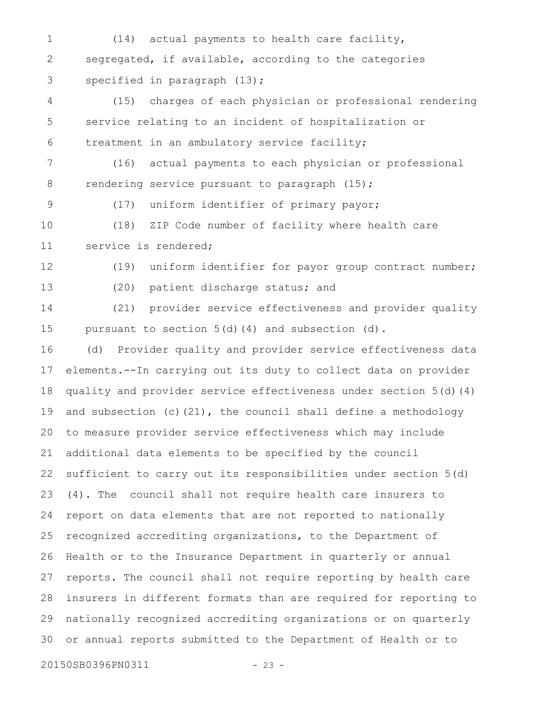(14) actual payments to health care facility, segregated, if available, according to the categories specified in paragraph (13); (15) charges of each physician or professional rendering service relating to an incident of hospitalization or treatment in an ambulatory service facility; (16) actual payments to each physician or professional rendering service pursuant to paragraph (15); (17) uniform identifier of primary payor; (18) ZIP Code number of facility where health care service is rendered; (19) uniform identifier for payor group contract number; (20) patient discharge status; and (21) provider service effectiveness and provider quality pursuant to section 5(d)(4) and subsection (d). (d) Provider quality and provider service effectiveness data elements.--In carrying out its duty to collect data on provider quality and provider service effectiveness under section 5(d)(4) and subsection (c)(21), the council shall define a methodology to measure provider service effectiveness which may include additional data elements to be specified by the council sufficient to carry out its responsibilities under section 5(d) (4). The council shall not require health care insurers to report on data elements that are not reported to nationally recognized accrediting organizations, to the Department of Health or to the Insurance Department in quarterly or annual reports. The council shall not require reporting by health care insurers in different formats than are required for reporting to nationally recognized accrediting organizations or on quarterly or annual reports submitted to the Department of Health or to 20150SB0396PN0311 - 23 -1 2 3 4 5 6 7 8 9 10 11 12 13 14 15 16 17 18 19 20 21 22 23 24 25 26 27 28 29 30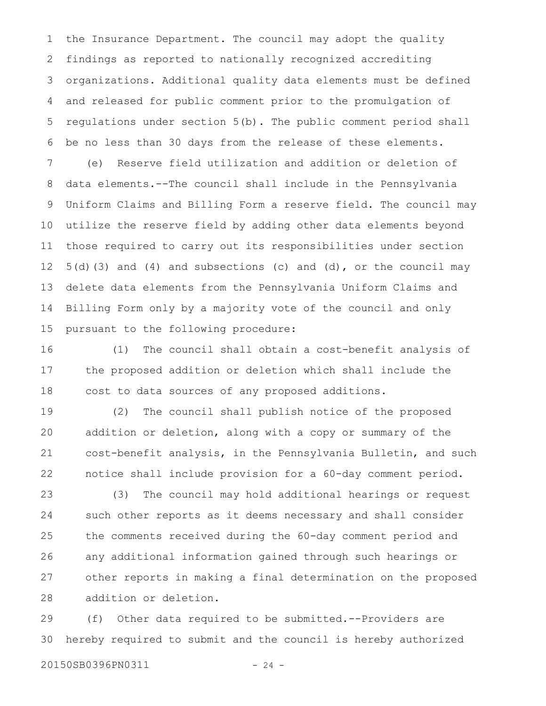the Insurance Department. The council may adopt the quality findings as reported to nationally recognized accrediting organizations. Additional quality data elements must be defined and released for public comment prior to the promulgation of regulations under section 5(b). The public comment period shall be no less than 30 days from the release of these elements. (e) Reserve field utilization and addition or deletion of data elements.--The council shall include in the Pennsylvania Uniform Claims and Billing Form a reserve field. The council may utilize the reserve field by adding other data elements beyond those required to carry out its responsibilities under section 5(d)(3) and (4) and subsections (c) and (d), or the council may delete data elements from the Pennsylvania Uniform Claims and Billing Form only by a majority vote of the council and only pursuant to the following procedure: 1 2 3 4 5 6 7 8 9 10 11 12 13 14 15

(1) The council shall obtain a cost-benefit analysis of the proposed addition or deletion which shall include the cost to data sources of any proposed additions. 16 17 18

(2) The council shall publish notice of the proposed addition or deletion, along with a copy or summary of the cost-benefit analysis, in the Pennsylvania Bulletin, and such notice shall include provision for a 60-day comment period. 19 20 21 22

(3) The council may hold additional hearings or request such other reports as it deems necessary and shall consider the comments received during the 60-day comment period and any additional information gained through such hearings or other reports in making a final determination on the proposed addition or deletion. 23 24 25 26 27 28

(f) Other data required to be submitted.--Providers are hereby required to submit and the council is hereby authorized 29 30

20150SB0396PN0311 - 24 -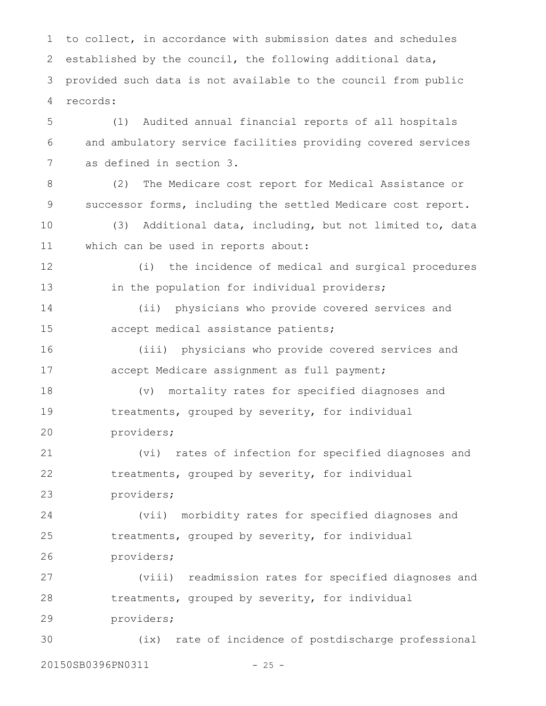to collect, in accordance with submission dates and schedules established by the council, the following additional data, provided such data is not available to the council from public records: 1 2 3 4

(1) Audited annual financial reports of all hospitals and ambulatory service facilities providing covered services as defined in section 3. 5 6 7

(2) The Medicare cost report for Medical Assistance or successor forms, including the settled Medicare cost report. 8 9

(3) Additional data, including, but not limited to, data which can be used in reports about: 10 11

(i) the incidence of medical and surgical procedures in the population for individual providers; 12 13

(ii) physicians who provide covered services and accept medical assistance patients; 14 15

(iii) physicians who provide covered services and accept Medicare assignment as full payment; 16 17

(v) mortality rates for specified diagnoses and treatments, grouped by severity, for individual providers; 18 19 20

(vi) rates of infection for specified diagnoses and treatments, grouped by severity, for individual providers; 21 22 23

(vii) morbidity rates for specified diagnoses and treatments, grouped by severity, for individual providers; 24 25 26

(viii) readmission rates for specified diagnoses and treatments, grouped by severity, for individual providers; 27 28 29

(ix) rate of incidence of postdischarge professional 20150SB0396PN0311 - 25 -30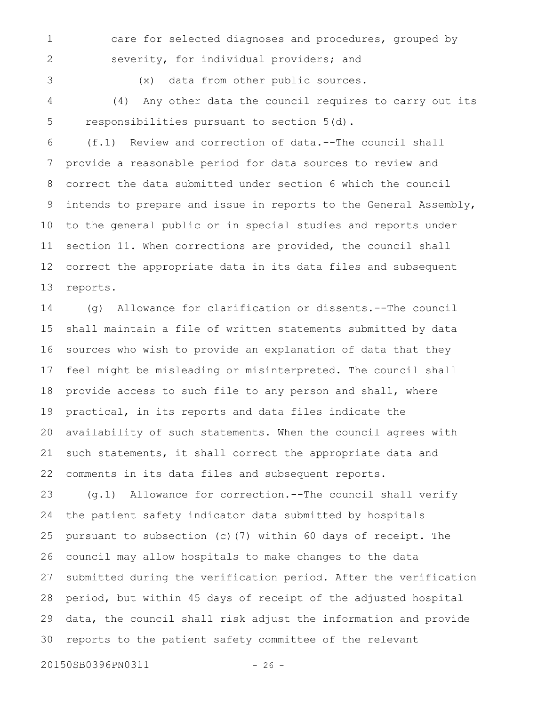1 2 care for selected diagnoses and procedures, grouped by severity, for individual providers; and

3

(x) data from other public sources.

(4) Any other data the council requires to carry out its responsibilities pursuant to section 5(d). 4 5

(f.1) Review and correction of data.--The council shall provide a reasonable period for data sources to review and correct the data submitted under section 6 which the council intends to prepare and issue in reports to the General Assembly, to the general public or in special studies and reports under section 11. When corrections are provided, the council shall correct the appropriate data in its data files and subsequent reports. 6 7 8 9 10 11 12 13

(g) Allowance for clarification or dissents.--The council shall maintain a file of written statements submitted by data sources who wish to provide an explanation of data that they feel might be misleading or misinterpreted. The council shall provide access to such file to any person and shall, where practical, in its reports and data files indicate the availability of such statements. When the council agrees with such statements, it shall correct the appropriate data and comments in its data files and subsequent reports. 14 15 16 17 18 19 20 21 22

(g.1) Allowance for correction.--The council shall verify the patient safety indicator data submitted by hospitals pursuant to subsection (c)(7) within 60 days of receipt. The council may allow hospitals to make changes to the data submitted during the verification period. After the verification period, but within 45 days of receipt of the adjusted hospital data, the council shall risk adjust the information and provide reports to the patient safety committee of the relevant 23 24 25 26 27 28 29 30

20150SB0396PN0311 - 26 -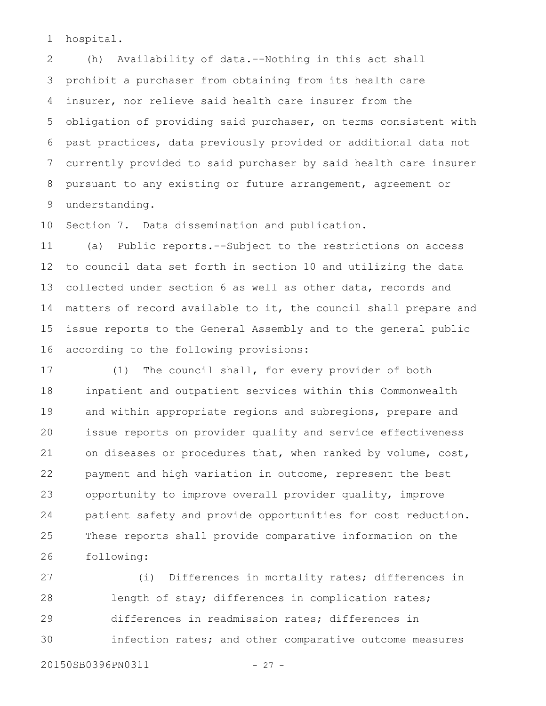hospital. 1

(h) Availability of data.--Nothing in this act shall prohibit a purchaser from obtaining from its health care insurer, nor relieve said health care insurer from the obligation of providing said purchaser, on terms consistent with past practices, data previously provided or additional data not currently provided to said purchaser by said health care insurer pursuant to any existing or future arrangement, agreement or understanding. 2 3 4 5 6 7 8 9

Section 7. Data dissemination and publication. 10

(a) Public reports.--Subject to the restrictions on access to council data set forth in section 10 and utilizing the data collected under section 6 as well as other data, records and matters of record available to it, the council shall prepare and issue reports to the General Assembly and to the general public according to the following provisions: 11 12 13 14 15 16

(1) The council shall, for every provider of both inpatient and outpatient services within this Commonwealth and within appropriate regions and subregions, prepare and issue reports on provider quality and service effectiveness on diseases or procedures that, when ranked by volume, cost, payment and high variation in outcome, represent the best opportunity to improve overall provider quality, improve patient safety and provide opportunities for cost reduction. These reports shall provide comparative information on the following: 17 18 19 20 21 22 23 24 25 26

(i) Differences in mortality rates; differences in length of stay; differences in complication rates; differences in readmission rates; differences in infection rates; and other comparative outcome measures 27 28 29 30

20150SB0396PN0311 - 27 -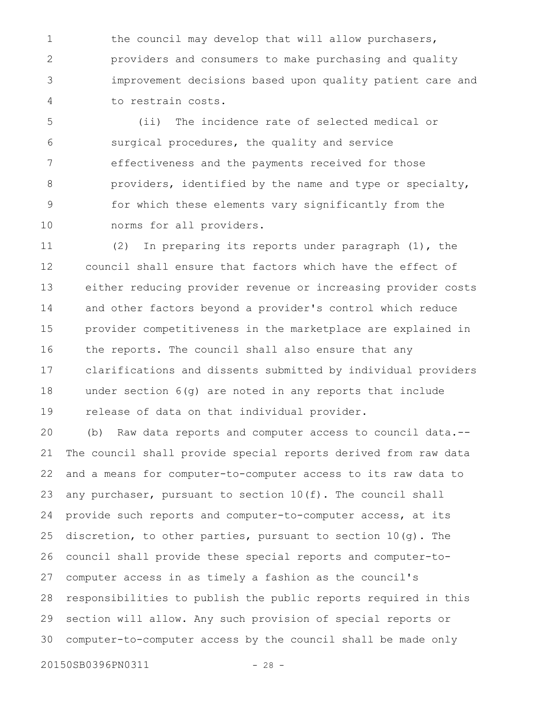the council may develop that will allow purchasers, providers and consumers to make purchasing and quality improvement decisions based upon quality patient care and to restrain costs. 1 2 3 4

(ii) The incidence rate of selected medical or surgical procedures, the quality and service effectiveness and the payments received for those providers, identified by the name and type or specialty, for which these elements vary significantly from the norms for all providers. 5 6 7 8 9 10

(2) In preparing its reports under paragraph (1), the council shall ensure that factors which have the effect of either reducing provider revenue or increasing provider costs and other factors beyond a provider's control which reduce provider competitiveness in the marketplace are explained in the reports. The council shall also ensure that any clarifications and dissents submitted by individual providers under section 6(g) are noted in any reports that include release of data on that individual provider. 11 12 13 14 15 16 17 18 19

(b) Raw data reports and computer access to council data.-- The council shall provide special reports derived from raw data and a means for computer-to-computer access to its raw data to any purchaser, pursuant to section 10(f). The council shall provide such reports and computer-to-computer access, at its discretion, to other parties, pursuant to section 10(g). The council shall provide these special reports and computer-tocomputer access in as timely a fashion as the council's responsibilities to publish the public reports required in this section will allow. Any such provision of special reports or computer-to-computer access by the council shall be made only 20 21 22 23 24 25 26 27 28 29 30

20150SB0396PN0311 - 28 -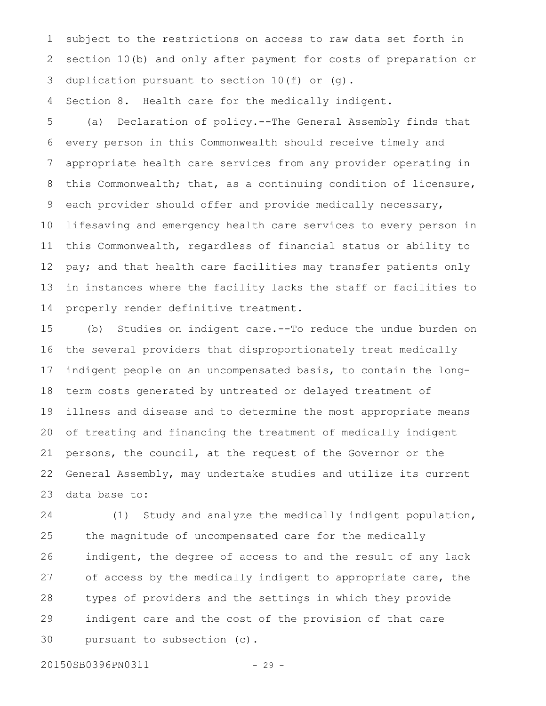subject to the restrictions on access to raw data set forth in section 10(b) and only after payment for costs of preparation or duplication pursuant to section 10(f) or (g). 1 2 3

Section 8. Health care for the medically indigent. 4

(a) Declaration of policy.--The General Assembly finds that every person in this Commonwealth should receive timely and appropriate health care services from any provider operating in this Commonwealth; that, as a continuing condition of licensure, each provider should offer and provide medically necessary, lifesaving and emergency health care services to every person in this Commonwealth, regardless of financial status or ability to pay; and that health care facilities may transfer patients only in instances where the facility lacks the staff or facilities to properly render definitive treatment. 5 6 7 8 9 10 11 12 13 14

(b) Studies on indigent care.--To reduce the undue burden on the several providers that disproportionately treat medically indigent people on an uncompensated basis, to contain the longterm costs generated by untreated or delayed treatment of illness and disease and to determine the most appropriate means of treating and financing the treatment of medically indigent persons, the council, at the request of the Governor or the General Assembly, may undertake studies and utilize its current data base to: 15 16 17 18 19 20 21 22 23

(1) Study and analyze the medically indigent population, the magnitude of uncompensated care for the medically indigent, the degree of access to and the result of any lack of access by the medically indigent to appropriate care, the types of providers and the settings in which they provide indigent care and the cost of the provision of that care pursuant to subsection (c). 24 25 26 27 28 29 30

20150SB0396PN0311 - 29 -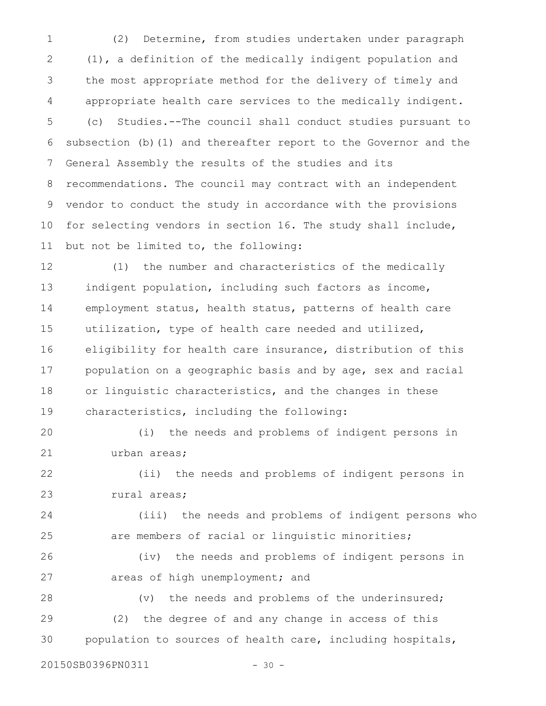(2) Determine, from studies undertaken under paragraph (1), a definition of the medically indigent population and the most appropriate method for the delivery of timely and appropriate health care services to the medically indigent. (c) Studies.--The council shall conduct studies pursuant to subsection (b)(1) and thereafter report to the Governor and the General Assembly the results of the studies and its recommendations. The council may contract with an independent vendor to conduct the study in accordance with the provisions for selecting vendors in section 16. The study shall include, but not be limited to, the following: 1 2 3 4 5 6 7 8 9 10 11

(1) the number and characteristics of the medically indigent population, including such factors as income, employment status, health status, patterns of health care utilization, type of health care needed and utilized, eligibility for health care insurance, distribution of this population on a geographic basis and by age, sex and racial or linguistic characteristics, and the changes in these characteristics, including the following: 12 13 14 15 16 17 18 19

(i) the needs and problems of indigent persons in urban areas; 20 21

(ii) the needs and problems of indigent persons in rural areas; 22 23

(iii) the needs and problems of indigent persons who are members of racial or linguistic minorities; 24 25

(iv) the needs and problems of indigent persons in areas of high unemployment; and 26 27

(v) the needs and problems of the underinsured; (2) the degree of and any change in access of this population to sources of health care, including hospitals, 28 29 30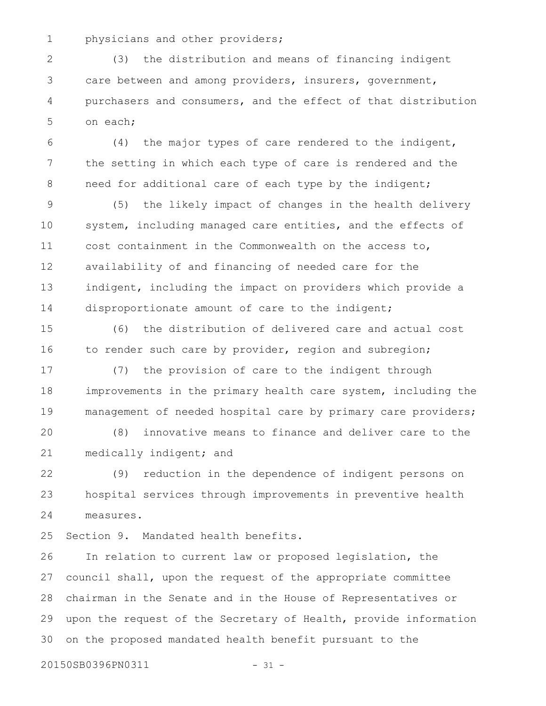physicians and other providers; 1

(3) the distribution and means of financing indigent care between and among providers, insurers, government, purchasers and consumers, and the effect of that distribution on each; 2 3 4 5

(4) the major types of care rendered to the indigent, the setting in which each type of care is rendered and the need for additional care of each type by the indigent; 6 7 8

(5) the likely impact of changes in the health delivery system, including managed care entities, and the effects of cost containment in the Commonwealth on the access to, availability of and financing of needed care for the indigent, including the impact on providers which provide a disproportionate amount of care to the indigent; 9 10 11 12 13 14

(6) the distribution of delivered care and actual cost to render such care by provider, region and subregion; 15 16

(7) the provision of care to the indigent through improvements in the primary health care system, including the management of needed hospital care by primary care providers; 17 18 19

(8) innovative means to finance and deliver care to the medically indigent; and 20 21

(9) reduction in the dependence of indigent persons on hospital services through improvements in preventive health measures. 22 23 24

Section 9. Mandated health benefits. 25

In relation to current law or proposed legislation, the council shall, upon the request of the appropriate committee chairman in the Senate and in the House of Representatives or upon the request of the Secretary of Health, provide information on the proposed mandated health benefit pursuant to the 26 27 28 29 30

20150SB0396PN0311 - 31 -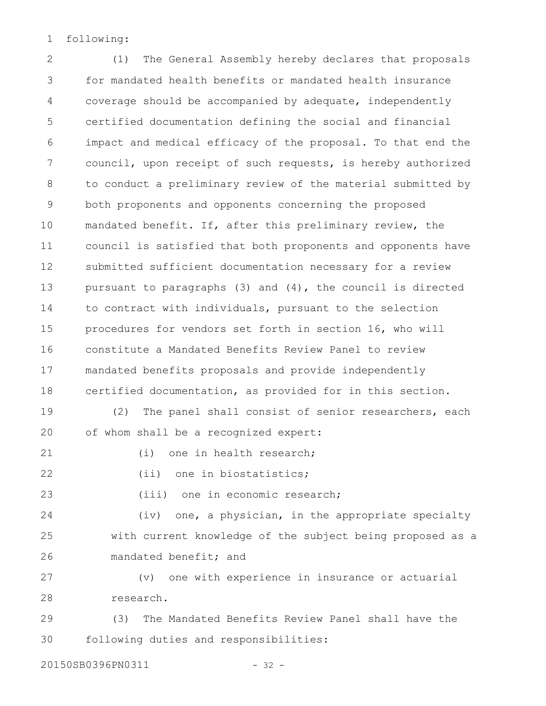following: 1

(1) The General Assembly hereby declares that proposals for mandated health benefits or mandated health insurance coverage should be accompanied by adequate, independently certified documentation defining the social and financial impact and medical efficacy of the proposal. To that end the council, upon receipt of such requests, is hereby authorized to conduct a preliminary review of the material submitted by both proponents and opponents concerning the proposed mandated benefit. If, after this preliminary review, the council is satisfied that both proponents and opponents have submitted sufficient documentation necessary for a review pursuant to paragraphs (3) and (4), the council is directed to contract with individuals, pursuant to the selection procedures for vendors set forth in section 16, who will constitute a Mandated Benefits Review Panel to review mandated benefits proposals and provide independently certified documentation, as provided for in this section. (2) The panel shall consist of senior researchers, each of whom shall be a recognized expert: (i) one in health research; (ii) one in biostatistics; (iii) one in economic research; (iv) one, a physician, in the appropriate specialty with current knowledge of the subject being proposed as a mandated benefit; and (v) one with experience in insurance or actuarial research. (3) The Mandated Benefits Review Panel shall have the following duties and responsibilities: 2 3 4 5 6 7 8 9 10 11 12 13 14 15 16 17 18 19 20 21 22 23 24 25 26 27 28 29 30

20150SB0396PN0311 - 32 -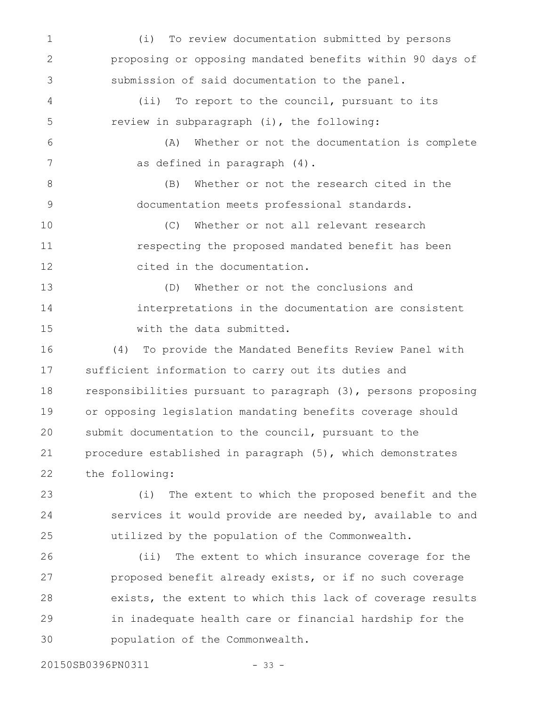(i) To review documentation submitted by persons proposing or opposing mandated benefits within 90 days of submission of said documentation to the panel. (ii) To report to the council, pursuant to its review in subparagraph (i), the following: (A) Whether or not the documentation is complete as defined in paragraph (4). (B) Whether or not the research cited in the documentation meets professional standards. (C) Whether or not all relevant research respecting the proposed mandated benefit has been cited in the documentation. (D) Whether or not the conclusions and interpretations in the documentation are consistent with the data submitted. (4) To provide the Mandated Benefits Review Panel with sufficient information to carry out its duties and responsibilities pursuant to paragraph (3), persons proposing or opposing legislation mandating benefits coverage should submit documentation to the council, pursuant to the procedure established in paragraph (5), which demonstrates the following: (i) The extent to which the proposed benefit and the services it would provide are needed by, available to and utilized by the population of the Commonwealth. (ii) The extent to which insurance coverage for the proposed benefit already exists, or if no such coverage exists, the extent to which this lack of coverage results 1 2 3 4 5 6 7 8 9 10 11 12 13 14 15 16 17 18 19 20 21 22 23 24 25 26 27 28

in inadequate health care or financial hardship for the population of the Commonwealth. 29 30

20150SB0396PN0311 - 33 -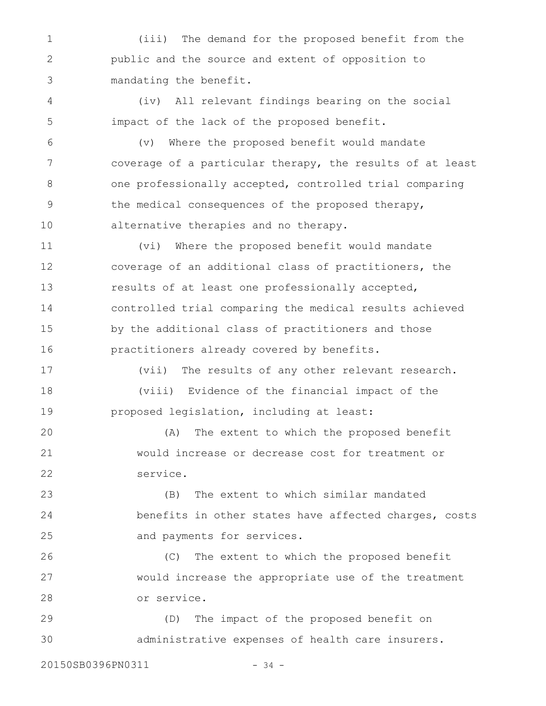(iii) The demand for the proposed benefit from the public and the source and extent of opposition to mandating the benefit. 1 2 3

(iv) All relevant findings bearing on the social impact of the lack of the proposed benefit. 4 5

(v) Where the proposed benefit would mandate coverage of a particular therapy, the results of at least one professionally accepted, controlled trial comparing the medical consequences of the proposed therapy, alternative therapies and no therapy. 6 7 8 9 10

(vi) Where the proposed benefit would mandate coverage of an additional class of practitioners, the results of at least one professionally accepted, controlled trial comparing the medical results achieved by the additional class of practitioners and those practitioners already covered by benefits. 11 12 13 14 15 16

(vii) The results of any other relevant research. (viii) Evidence of the financial impact of the proposed legislation, including at least: 17 18 19

(A) The extent to which the proposed benefit would increase or decrease cost for treatment or service. 20 21 22

(B) The extent to which similar mandated benefits in other states have affected charges, costs and payments for services. 23 24 25

(C) The extent to which the proposed benefit would increase the appropriate use of the treatment or service. 26 27 28

(D) The impact of the proposed benefit on administrative expenses of health care insurers. 29 30

20150SB0396PN0311 - 34 -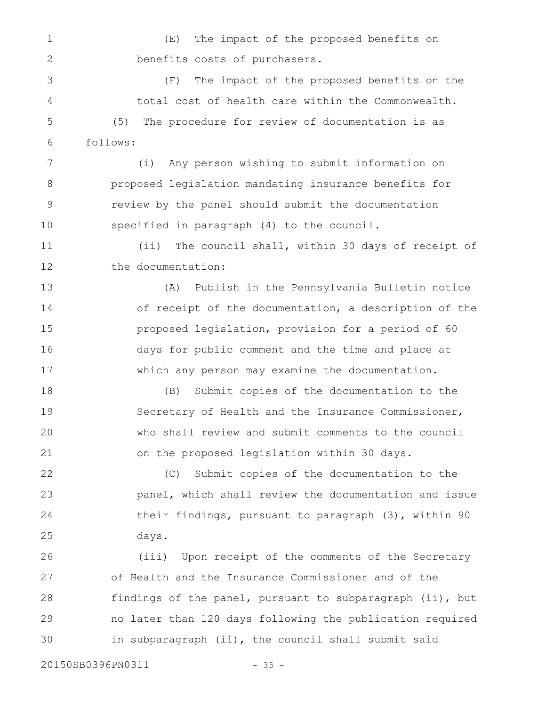(E) The impact of the proposed benefits on benefits costs of purchasers. 1 2

(F) The impact of the proposed benefits on the total cost of health care within the Commonwealth. (5) The procedure for review of documentation is as follows: 3 4 5 6

(i) Any person wishing to submit information on proposed legislation mandating insurance benefits for review by the panel should submit the documentation specified in paragraph (4) to the council. 7 8 9 10

(ii) The council shall, within 30 days of receipt of the documentation: 11 12

(A) Publish in the Pennsylvania Bulletin notice of receipt of the documentation, a description of the proposed legislation, provision for a period of 60 days for public comment and the time and place at which any person may examine the documentation. 13 14 15 16 17

(B) Submit copies of the documentation to the Secretary of Health and the Insurance Commissioner, who shall review and submit comments to the council on the proposed legislation within 30 days. 18 19 20 21

(C) Submit copies of the documentation to the panel, which shall review the documentation and issue their findings, pursuant to paragraph (3), within 90 days. 22 23 24 25

(iii) Upon receipt of the comments of the Secretary of Health and the Insurance Commissioner and of the findings of the panel, pursuant to subparagraph (ii), but no later than 120 days following the publication required in subparagraph (ii), the council shall submit said 26 27 28 29 30

20150SB0396PN0311 - 35 -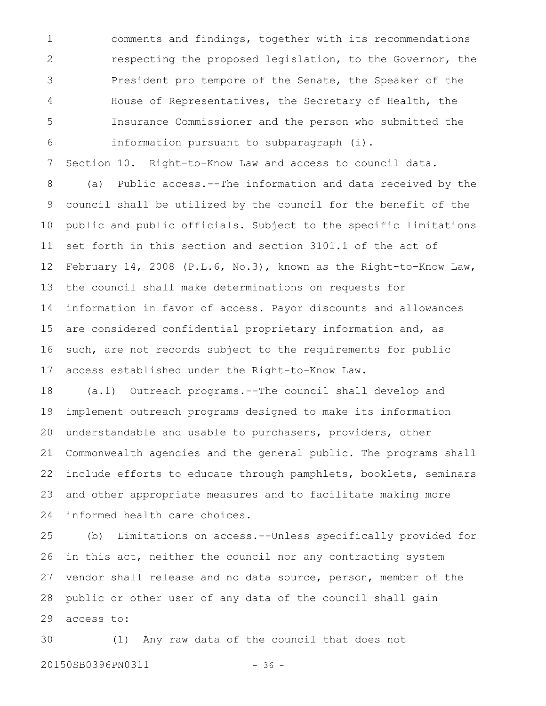comments and findings, together with its recommendations respecting the proposed legislation, to the Governor, the President pro tempore of the Senate, the Speaker of the House of Representatives, the Secretary of Health, the Insurance Commissioner and the person who submitted the information pursuant to subparagraph (i). 1 2 3 4 5 6

Section 10. Right-to-Know Law and access to council data. 7

(a) Public access.--The information and data received by the council shall be utilized by the council for the benefit of the public and public officials. Subject to the specific limitations set forth in this section and section 3101.1 of the act of February 14, 2008 (P.L.6, No.3), known as the Right-to-Know Law, the council shall make determinations on requests for information in favor of access. Payor discounts and allowances are considered confidential proprietary information and, as such, are not records subject to the requirements for public access established under the Right-to-Know Law. 8 9 10 11 12 13 14 15 16 17

(a.1) Outreach programs.--The council shall develop and implement outreach programs designed to make its information understandable and usable to purchasers, providers, other Commonwealth agencies and the general public. The programs shall include efforts to educate through pamphlets, booklets, seminars and other appropriate measures and to facilitate making more informed health care choices. 18 19 20 21 22 23 24

(b) Limitations on access.--Unless specifically provided for in this act, neither the council nor any contracting system vendor shall release and no data source, person, member of the public or other user of any data of the council shall gain access to: 25 26 27 28 29

(1) Any raw data of the council that does not 20150SB0396PN0311 - 36 -30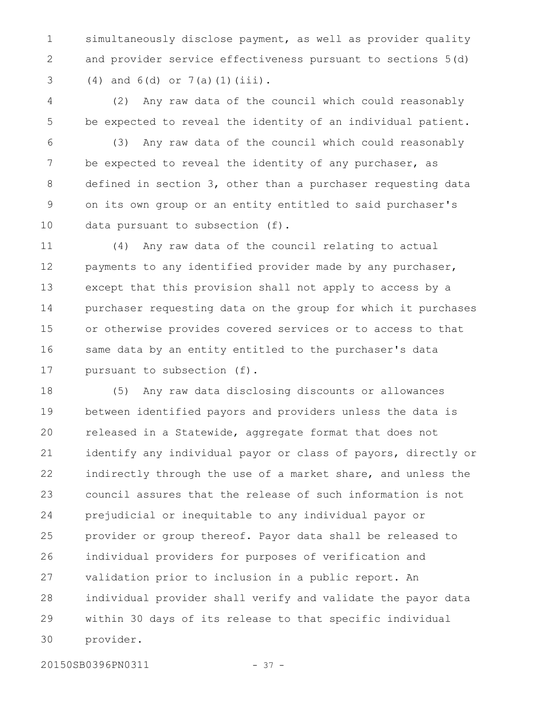simultaneously disclose payment, as well as provider quality and provider service effectiveness pursuant to sections 5(d) (4) and 6(d) or 7(a)(1)(iii). 1 2 3

(2) Any raw data of the council which could reasonably be expected to reveal the identity of an individual patient. 4 5

(3) Any raw data of the council which could reasonably be expected to reveal the identity of any purchaser, as defined in section 3, other than a purchaser requesting data on its own group or an entity entitled to said purchaser's data pursuant to subsection (f). 6 7 8 9 10

(4) Any raw data of the council relating to actual payments to any identified provider made by any purchaser, except that this provision shall not apply to access by a purchaser requesting data on the group for which it purchases or otherwise provides covered services or to access to that same data by an entity entitled to the purchaser's data pursuant to subsection (f). 11 12 13 14 15 16 17

(5) Any raw data disclosing discounts or allowances between identified payors and providers unless the data is released in a Statewide, aggregate format that does not identify any individual payor or class of payors, directly or indirectly through the use of a market share, and unless the council assures that the release of such information is not prejudicial or inequitable to any individual payor or provider or group thereof. Payor data shall be released to individual providers for purposes of verification and validation prior to inclusion in a public report. An individual provider shall verify and validate the payor data within 30 days of its release to that specific individual provider. 18 19 20 21 22 23 24 25 26 27 28 29 30

20150SB0396PN0311 - 37 -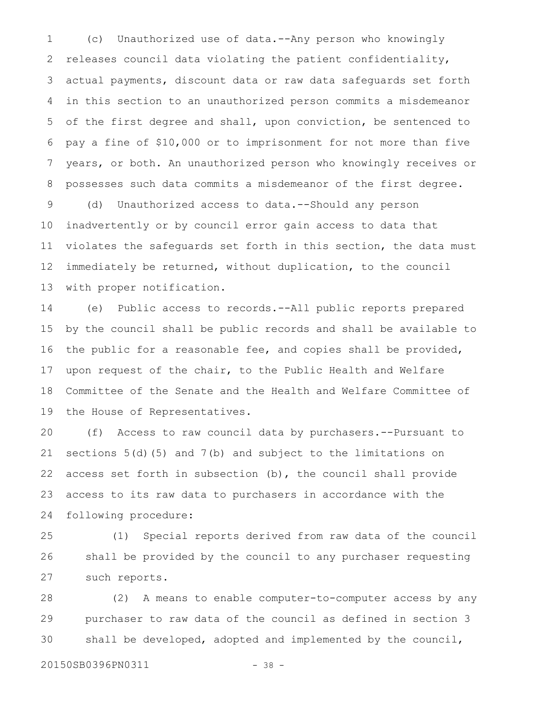(c) Unauthorized use of data.--Any person who knowingly releases council data violating the patient confidentiality, actual payments, discount data or raw data safeguards set forth in this section to an unauthorized person commits a misdemeanor of the first degree and shall, upon conviction, be sentenced to pay a fine of \$10,000 or to imprisonment for not more than five years, or both. An unauthorized person who knowingly receives or possesses such data commits a misdemeanor of the first degree. 1 2 3 4 5 6 7 8

(d) Unauthorized access to data.--Should any person inadvertently or by council error gain access to data that violates the safeguards set forth in this section, the data must immediately be returned, without duplication, to the council with proper notification. 9 10 11 12 13

(e) Public access to records.--All public reports prepared by the council shall be public records and shall be available to the public for a reasonable fee, and copies shall be provided, upon request of the chair, to the Public Health and Welfare Committee of the Senate and the Health and Welfare Committee of the House of Representatives. 14 15 16 17 18 19

(f) Access to raw council data by purchasers.--Pursuant to sections 5(d)(5) and 7(b) and subject to the limitations on access set forth in subsection (b), the council shall provide access to its raw data to purchasers in accordance with the following procedure: 20 21 22 23 24

(1) Special reports derived from raw data of the council shall be provided by the council to any purchaser requesting such reports. 25 26 27

(2) A means to enable computer-to-computer access by any purchaser to raw data of the council as defined in section 3 shall be developed, adopted and implemented by the council, 28 29 30

20150SB0396PN0311 - 38 -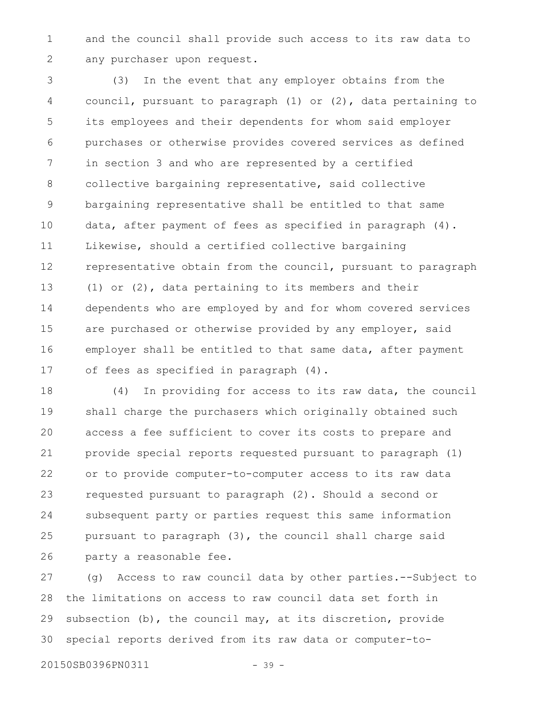and the council shall provide such access to its raw data to any purchaser upon request. 1 2

(3) In the event that any employer obtains from the council, pursuant to paragraph (1) or (2), data pertaining to its employees and their dependents for whom said employer purchases or otherwise provides covered services as defined in section 3 and who are represented by a certified collective bargaining representative, said collective bargaining representative shall be entitled to that same data, after payment of fees as specified in paragraph (4). Likewise, should a certified collective bargaining representative obtain from the council, pursuant to paragraph (1) or (2), data pertaining to its members and their dependents who are employed by and for whom covered services are purchased or otherwise provided by any employer, said employer shall be entitled to that same data, after payment of fees as specified in paragraph (4). 3 4 5 6 7 8 9 10 11 12 13 14 15 16 17

(4) In providing for access to its raw data, the council shall charge the purchasers which originally obtained such access a fee sufficient to cover its costs to prepare and provide special reports requested pursuant to paragraph (1) or to provide computer-to-computer access to its raw data requested pursuant to paragraph (2). Should a second or subsequent party or parties request this same information pursuant to paragraph (3), the council shall charge said party a reasonable fee. 18 19 20 21 22 23 24 25 26

(g) Access to raw council data by other parties.--Subject to the limitations on access to raw council data set forth in subsection (b), the council may, at its discretion, provide special reports derived from its raw data or computer-to-27 28 29 30

20150SB0396PN0311 - 39 -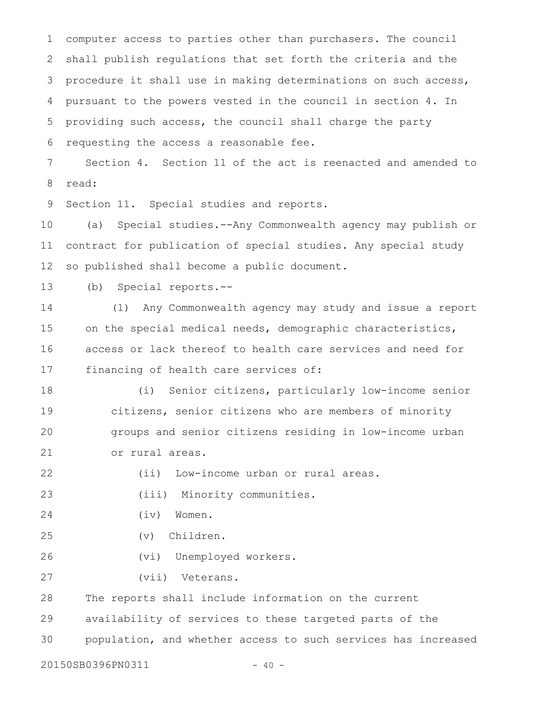computer access to parties other than purchasers. The council shall publish regulations that set forth the criteria and the procedure it shall use in making determinations on such access, pursuant to the powers vested in the council in section 4. In providing such access, the council shall charge the party requesting the access a reasonable fee. Section 4. Section 11 of the act is reenacted and amended to read: Section 11. Special studies and reports. (a) Special studies.--Any Commonwealth agency may publish or contract for publication of special studies. Any special study so published shall become a public document. (b) Special reports.-- (1) Any Commonwealth agency may study and issue a report on the special medical needs, demographic characteristics, access or lack thereof to health care services and need for financing of health care services of: (i) Senior citizens, particularly low-income senior citizens, senior citizens who are members of minority groups and senior citizens residing in low-income urban or rural areas. (ii) Low-income urban or rural areas. (iii) Minority communities. (iv) Women. (v) Children. (vi) Unemployed workers. (vii) Veterans. The reports shall include information on the current availability of services to these targeted parts of the population, and whether access to such services has increased 20150SB0396PN0311 - 40 -1 2 3 4 5 6 7 8 9 10 11 12 13 14 15 16 17 18 19 20 21 22 23 24 25 26 27 28 29 30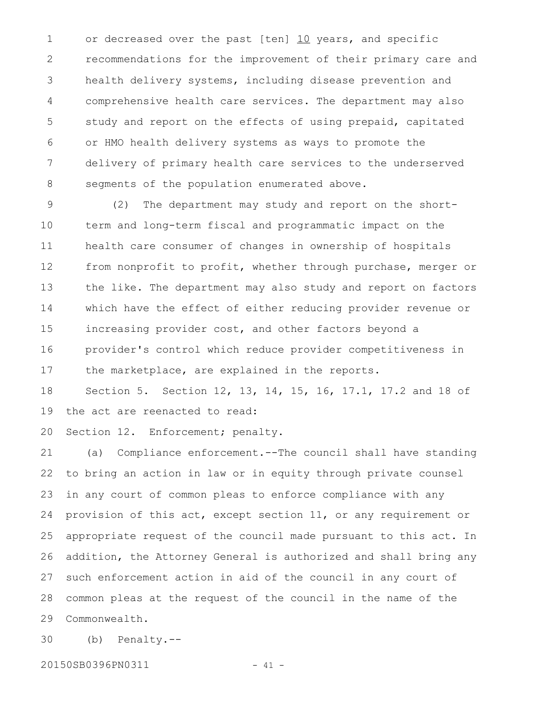or decreased over the past [ten] 10 years, and specific recommendations for the improvement of their primary care and health delivery systems, including disease prevention and comprehensive health care services. The department may also study and report on the effects of using prepaid, capitated or HMO health delivery systems as ways to promote the delivery of primary health care services to the underserved segments of the population enumerated above. 1 2 3 4 5 6 7 8

(2) The department may study and report on the shortterm and long-term fiscal and programmatic impact on the health care consumer of changes in ownership of hospitals from nonprofit to profit, whether through purchase, merger or the like. The department may also study and report on factors which have the effect of either reducing provider revenue or increasing provider cost, and other factors beyond a provider's control which reduce provider competitiveness in the marketplace, are explained in the reports. 9 10 11 12 13 14 15 16 17

Section 5. Section 12, 13, 14, 15, 16, 17.1, 17.2 and 18 of the act are reenacted to read: 18 19

Section 12. Enforcement; penalty. 20

(a) Compliance enforcement.--The council shall have standing to bring an action in law or in equity through private counsel in any court of common pleas to enforce compliance with any provision of this act, except section 11, or any requirement or appropriate request of the council made pursuant to this act. In addition, the Attorney General is authorized and shall bring any such enforcement action in aid of the council in any court of common pleas at the request of the council in the name of the Commonwealth. 21 22 23 24 25 26 27 28 29

(b) Penalty.-- 30

20150SB0396PN0311 - 41 -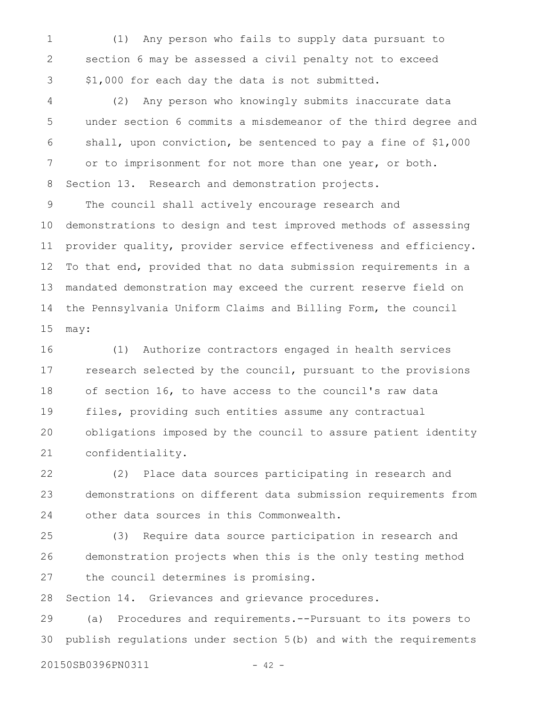(1) Any person who fails to supply data pursuant to section 6 may be assessed a civil penalty not to exceed \$1,000 for each day the data is not submitted. 1 2 3

(2) Any person who knowingly submits inaccurate data under section 6 commits a misdemeanor of the third degree and shall, upon conviction, be sentenced to pay a fine of \$1,000 or to imprisonment for not more than one year, or both. Section 13. Research and demonstration projects. 4 5 6 7 8

The council shall actively encourage research and demonstrations to design and test improved methods of assessing provider quality, provider service effectiveness and efficiency. To that end, provided that no data submission requirements in a mandated demonstration may exceed the current reserve field on the Pennsylvania Uniform Claims and Billing Form, the council may: 9 10 11 12 13 14 15

(1) Authorize contractors engaged in health services research selected by the council, pursuant to the provisions of section 16, to have access to the council's raw data files, providing such entities assume any contractual obligations imposed by the council to assure patient identity confidentiality. 16 17 18 19 20 21

(2) Place data sources participating in research and demonstrations on different data submission requirements from other data sources in this Commonwealth. 22 23 24

(3) Require data source participation in research and demonstration projects when this is the only testing method the council determines is promising. 25 26 27

Section 14. Grievances and grievance procedures. 28

(a) Procedures and requirements.--Pursuant to its powers to publish regulations under section 5(b) and with the requirements 29 30

20150SB0396PN0311 - 42 -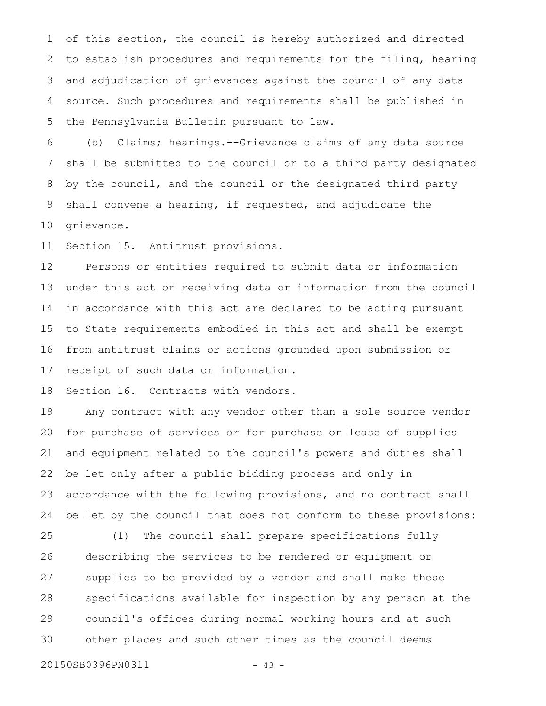of this section, the council is hereby authorized and directed to establish procedures and requirements for the filing, hearing and adjudication of grievances against the council of any data source. Such procedures and requirements shall be published in the Pennsylvania Bulletin pursuant to law. 1 2 3 4 5

(b) Claims; hearings.--Grievance claims of any data source shall be submitted to the council or to a third party designated by the council, and the council or the designated third party shall convene a hearing, if requested, and adjudicate the grievance. 6 7 8 9 10

Section 15. Antitrust provisions. 11

Persons or entities required to submit data or information under this act or receiving data or information from the council in accordance with this act are declared to be acting pursuant to State requirements embodied in this act and shall be exempt from antitrust claims or actions grounded upon submission or receipt of such data or information. 12 13 14 15 16 17

Section 16. Contracts with vendors. 18

Any contract with any vendor other than a sole source vendor for purchase of services or for purchase or lease of supplies and equipment related to the council's powers and duties shall be let only after a public bidding process and only in accordance with the following provisions, and no contract shall be let by the council that does not conform to these provisions: 19 20 21 22 23 24

(1) The council shall prepare specifications fully describing the services to be rendered or equipment or supplies to be provided by a vendor and shall make these specifications available for inspection by any person at the council's offices during normal working hours and at such other places and such other times as the council deems 25 26 27 28 29 30

```
20150SB0396PN0311 - 43 -
```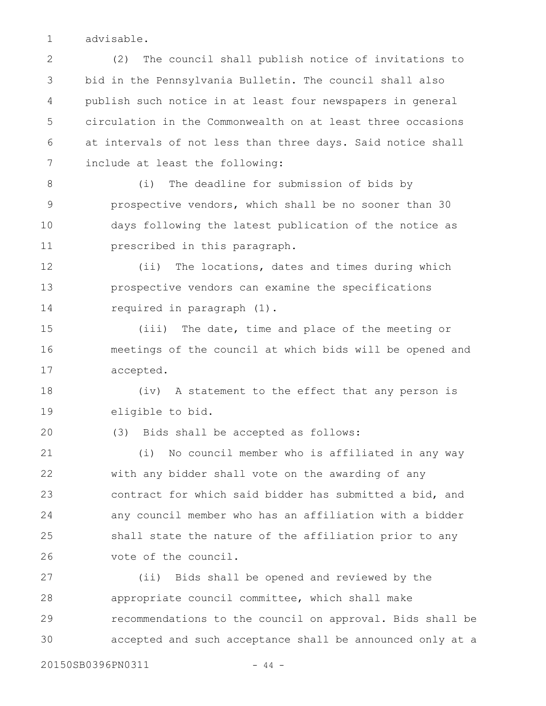advisable. 1

(2) The council shall publish notice of invitations to bid in the Pennsylvania Bulletin. The council shall also publish such notice in at least four newspapers in general circulation in the Commonwealth on at least three occasions at intervals of not less than three days. Said notice shall include at least the following: 2 3 4 5 6 7

(i) The deadline for submission of bids by prospective vendors, which shall be no sooner than 30 days following the latest publication of the notice as prescribed in this paragraph. 8 9 10 11

(ii) The locations, dates and times during which prospective vendors can examine the specifications required in paragraph (1). 12 13 14

(iii) The date, time and place of the meeting or meetings of the council at which bids will be opened and accepted. 15 16 17

(iv) A statement to the effect that any person is eligible to bid. 18 19

(3) Bids shall be accepted as follows:

(i) No council member who is affiliated in any way with any bidder shall vote on the awarding of any contract for which said bidder has submitted a bid, and any council member who has an affiliation with a bidder shall state the nature of the affiliation prior to any vote of the council. 21 22 23 24 25 26

(ii) Bids shall be opened and reviewed by the appropriate council committee, which shall make recommendations to the council on approval. Bids shall be accepted and such acceptance shall be announced only at a 27 28 29 30

20150SB0396PN0311 - 44 -

20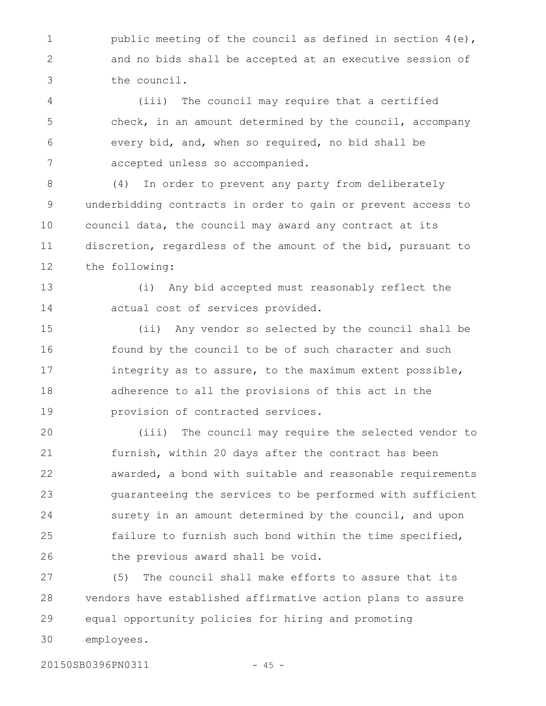public meeting of the council as defined in section 4(e), and no bids shall be accepted at an executive session of the council. 1 2 3

(iii) The council may require that a certified check, in an amount determined by the council, accompany every bid, and, when so required, no bid shall be accepted unless so accompanied. 4 5 6 7

(4) In order to prevent any party from deliberately underbidding contracts in order to gain or prevent access to council data, the council may award any contract at its discretion, regardless of the amount of the bid, pursuant to the following: 8 9 10 11 12

(i) Any bid accepted must reasonably reflect the actual cost of services provided. 13 14

(ii) Any vendor so selected by the council shall be found by the council to be of such character and such integrity as to assure, to the maximum extent possible, adherence to all the provisions of this act in the provision of contracted services. 15 16 17 18 19

(iii) The council may require the selected vendor to furnish, within 20 days after the contract has been awarded, a bond with suitable and reasonable requirements guaranteeing the services to be performed with sufficient surety in an amount determined by the council, and upon failure to furnish such bond within the time specified, the previous award shall be void. 20 21 22 23 24 25 26

(5) The council shall make efforts to assure that its vendors have established affirmative action plans to assure equal opportunity policies for hiring and promoting employees. 27 28 29 30

20150SB0396PN0311 - 45 -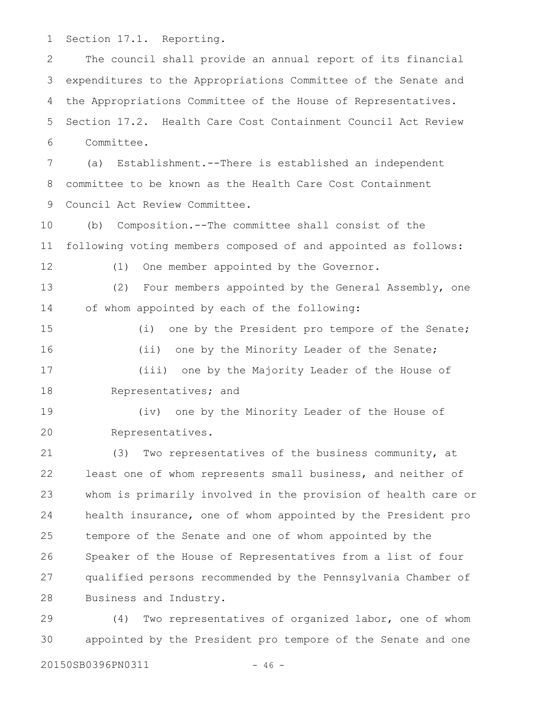Section 17.1. Reporting. 1

The council shall provide an annual report of its financial expenditures to the Appropriations Committee of the Senate and the Appropriations Committee of the House of Representatives. Section 17.2. Health Care Cost Containment Council Act Review Committee. 2 3 4 5 6

(a) Establishment.--There is established an independent committee to be known as the Health Care Cost Containment Council Act Review Committee. 7 8 9

(b) Composition.--The committee shall consist of the following voting members composed of and appointed as follows: 10 11

12

(1) One member appointed by the Governor.

(2) Four members appointed by the General Assembly, one of whom appointed by each of the following: 13 14

(i) one by the President pro tempore of the Senate; (ii) one by the Minority Leader of the Senate; (iii) one by the Majority Leader of the House of Representatives; and 15 16 17 18

(iv) one by the Minority Leader of the House of Representatives. 19 20

(3) Two representatives of the business community, at least one of whom represents small business, and neither of whom is primarily involved in the provision of health care or health insurance, one of whom appointed by the President pro tempore of the Senate and one of whom appointed by the Speaker of the House of Representatives from a list of four qualified persons recommended by the Pennsylvania Chamber of Business and Industry. 21 22 23 24 25 26 27 28

(4) Two representatives of organized labor, one of whom appointed by the President pro tempore of the Senate and one 29 30

20150SB0396PN0311 - 46 -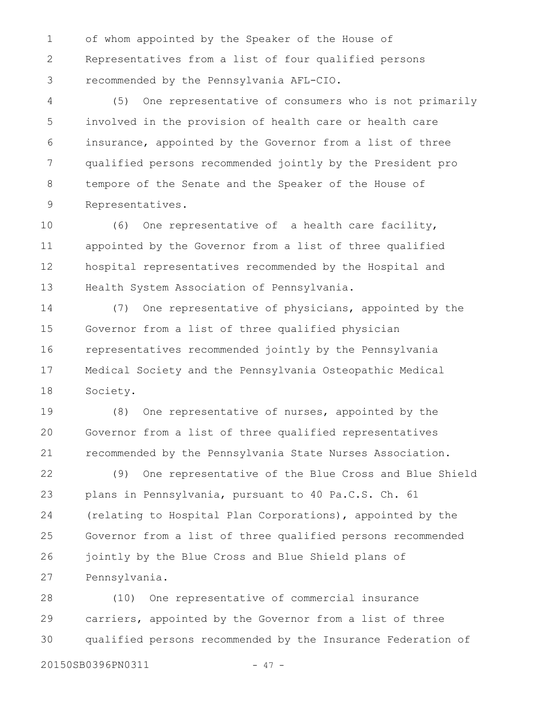of whom appointed by the Speaker of the House of Representatives from a list of four qualified persons recommended by the Pennsylvania AFL-CIO. 1 2 3

(5) One representative of consumers who is not primarily involved in the provision of health care or health care insurance, appointed by the Governor from a list of three qualified persons recommended jointly by the President pro tempore of the Senate and the Speaker of the House of Representatives. 4 5 6 7 8 9

(6) One representative of a health care facility, appointed by the Governor from a list of three qualified hospital representatives recommended by the Hospital and Health System Association of Pennsylvania. 10 11 12 13

(7) One representative of physicians, appointed by the Governor from a list of three qualified physician representatives recommended jointly by the Pennsylvania Medical Society and the Pennsylvania Osteopathic Medical Society. 14 15 16 17 18

(8) One representative of nurses, appointed by the Governor from a list of three qualified representatives recommended by the Pennsylvania State Nurses Association. 19 20 21

(9) One representative of the Blue Cross and Blue Shield plans in Pennsylvania, pursuant to 40 Pa.C.S. Ch. 61 (relating to Hospital Plan Corporations), appointed by the Governor from a list of three qualified persons recommended jointly by the Blue Cross and Blue Shield plans of Pennsylvania. 22 23 24 25 26 27

(10) One representative of commercial insurance carriers, appointed by the Governor from a list of three qualified persons recommended by the Insurance Federation of 28 29 30

20150SB0396PN0311 - 47 -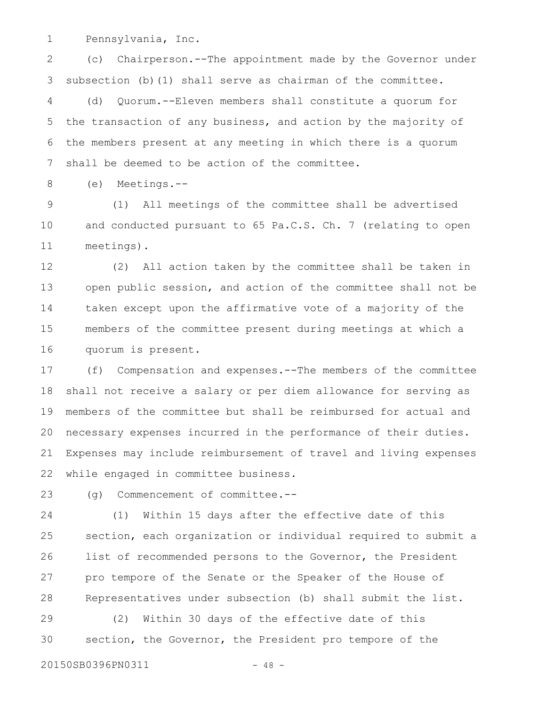Pennsylvania, Inc. 1

(c) Chairperson.--The appointment made by the Governor under subsection (b)(1) shall serve as chairman of the committee. 2 3

(d) Quorum.--Eleven members shall constitute a quorum for the transaction of any business, and action by the majority of the members present at any meeting in which there is a quorum shall be deemed to be action of the committee. 4 5 6 7

(e) Meetings.-- 8

(1) All meetings of the committee shall be advertised and conducted pursuant to 65 Pa.C.S. Ch. 7 (relating to open meetings). 9 10 11

(2) All action taken by the committee shall be taken in open public session, and action of the committee shall not be taken except upon the affirmative vote of a majority of the members of the committee present during meetings at which a quorum is present. 12 13 14 15 16

(f) Compensation and expenses.--The members of the committee shall not receive a salary or per diem allowance for serving as members of the committee but shall be reimbursed for actual and necessary expenses incurred in the performance of their duties. Expenses may include reimbursement of travel and living expenses while engaged in committee business. 17 18 19 20 21 22

(g) Commencement of committee.-- 23

(1) Within 15 days after the effective date of this section, each organization or individual required to submit a list of recommended persons to the Governor, the President pro tempore of the Senate or the Speaker of the House of Representatives under subsection (b) shall submit the list. 24 25 26 27 28

(2) Within 30 days of the effective date of this section, the Governor, the President pro tempore of the 29 30

20150SB0396PN0311 - 48 -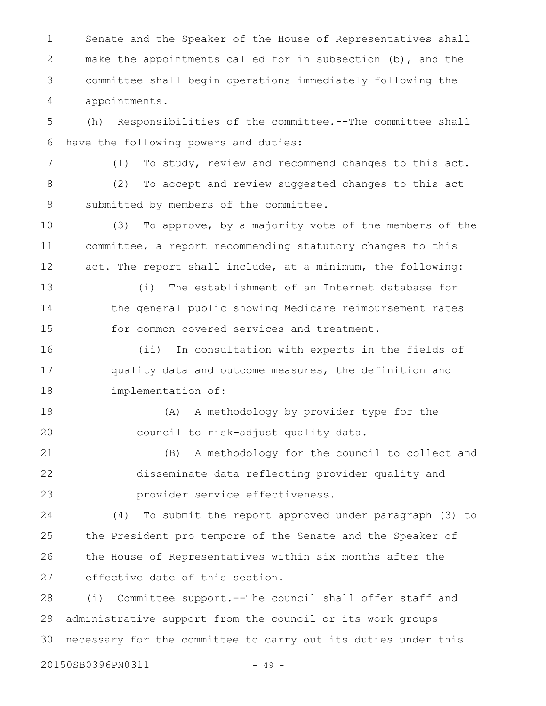Senate and the Speaker of the House of Representatives shall make the appointments called for in subsection (b), and the committee shall begin operations immediately following the appointments. 1 2 3 4

(h) Responsibilities of the committee.--The committee shall have the following powers and duties: 5 6

7

(1) To study, review and recommend changes to this act. (2) To accept and review suggested changes to this act submitted by members of the committee. 8 9

(3) To approve, by a majority vote of the members of the committee, a report recommending statutory changes to this act. The report shall include, at a minimum, the following: 10 11 12

(i) The establishment of an Internet database for the general public showing Medicare reimbursement rates for common covered services and treatment. 13 14 15

(ii) In consultation with experts in the fields of quality data and outcome measures, the definition and implementation of: 16 17 18

(A) A methodology by provider type for the council to risk-adjust quality data. 19 20

(B) A methodology for the council to collect and disseminate data reflecting provider quality and provider service effectiveness. 21 22 23

(4) To submit the report approved under paragraph (3) to the President pro tempore of the Senate and the Speaker of the House of Representatives within six months after the effective date of this section. 24 25 26 27

(i) Committee support.--The council shall offer staff and administrative support from the council or its work groups necessary for the committee to carry out its duties under this 28 29 30

20150SB0396PN0311 - 49 -